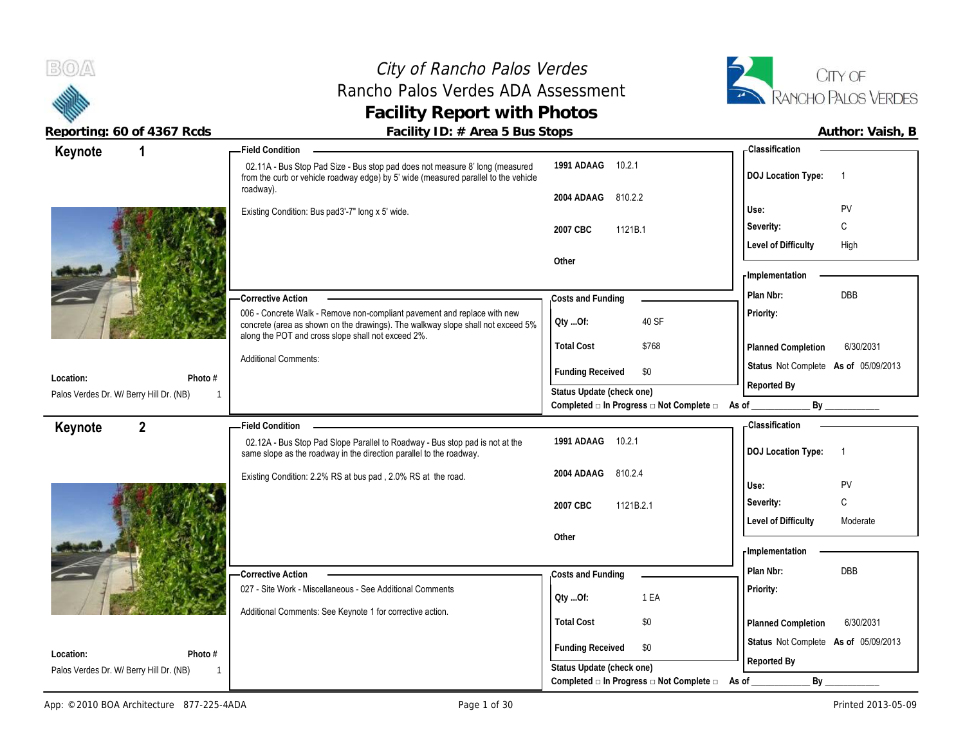#### City of Rancho Palos Verdes Rancho Palos Verdes ADA Assessment **Facility Report with Photos**



**Reporting: 60 of 4367 Rcds Facility ID: # Area 5 Bus Stops Author: Vaish, B**

| Keynote   |                                         | <b>Field Condition</b>                                                                                                                                              |                                          | <b>Classification</b>                       |
|-----------|-----------------------------------------|---------------------------------------------------------------------------------------------------------------------------------------------------------------------|------------------------------------------|---------------------------------------------|
|           |                                         | 02.11A - Bus Stop Pad Size - Bus stop pad does not measure 8' long (measured<br>from the curb or vehicle roadway edge) by 5' wide (measured parallel to the vehicle | 10.2.1<br>1991 ADAAG                     | <b>DOJ</b> Location Type:<br>$\overline{1}$ |
|           |                                         | roadway).                                                                                                                                                           | 2004 ADAAG<br>810.2.2                    |                                             |
|           |                                         | Existing Condition: Bus pad3'-7" long x 5' wide.                                                                                                                    |                                          | PV<br>Use:                                  |
|           |                                         |                                                                                                                                                                     | 1121B.1<br>2007 CBC                      | С<br>Severity:                              |
|           |                                         |                                                                                                                                                                     |                                          | <b>Level of Difficulty</b><br>High          |
|           |                                         |                                                                                                                                                                     | Other                                    | <b>Implementation</b>                       |
|           |                                         |                                                                                                                                                                     |                                          | DBB<br>Plan Nbr:                            |
|           |                                         | -Corrective Action<br>006 - Concrete Walk - Remove non-compliant pavement and replace with new                                                                      | Costs and Funding                        | Priority:                                   |
|           |                                         | concrete (area as shown on the drawings). The walkway slope shall not exceed 5%                                                                                     | 40 SF<br>QtyOf:                          |                                             |
|           |                                         | along the POT and cross slope shall not exceed 2%.                                                                                                                  | <b>Total Cost</b><br>\$768               | 6/30/2031<br>Planned Completion             |
|           |                                         | <b>Additional Comments:</b>                                                                                                                                         |                                          | Status Not Complete As of 05/09/2013        |
| Location: | Photo #                                 |                                                                                                                                                                     | <b>Funding Received</b><br>\$0           | Reported By                                 |
|           | Palos Verdes Dr. W/ Berry Hill Dr. (NB) |                                                                                                                                                                     | Status Update (check one)                |                                             |
|           |                                         |                                                                                                                                                                     | Completed □ In Progress □ Not Complete □ | As of _<br>By                               |
| Keynote   | $\overline{2}$                          | <b>Field Condition</b>                                                                                                                                              |                                          | - Classification                            |
|           |                                         | 02.12A - Bus Stop Pad Slope Parallel to Roadway - Bus stop pad is not at the<br>same slope as the roadway in the direction parallel to the roadway.                 | 1991 ADAAG<br>10.2.1                     | <b>DOJ Location Type:</b><br>$\overline{1}$ |
|           |                                         | Existing Condition: 2.2% RS at bus pad, 2.0% RS at the road.                                                                                                        | 2004 ADAAG<br>810.2.4                    |                                             |
|           |                                         |                                                                                                                                                                     |                                          | PV<br>Use:<br>C                             |
|           |                                         |                                                                                                                                                                     | 2007 CBC<br>1121B.2.1                    | Severity:                                   |
|           |                                         |                                                                                                                                                                     | Other                                    | <b>Level of Difficulty</b><br>Moderate      |
|           |                                         |                                                                                                                                                                     |                                          | <b>Implementation</b>                       |
|           |                                         |                                                                                                                                                                     | Costs and Funding                        | DBB<br>Plan Nbr:                            |
|           |                                         |                                                                                                                                                                     |                                          |                                             |
|           |                                         | -Corrective Action                                                                                                                                                  |                                          |                                             |
|           |                                         | 027 - Site Work - Miscellaneous - See Additional Comments                                                                                                           | 1 EA<br>Qty Of:                          | Priority:                                   |
|           |                                         | Additional Comments: See Keynote 1 for corrective action.                                                                                                           | <b>Total Cost</b><br>\$0                 | Planned Completion<br>6/30/2031             |
| Location: | Photo #                                 |                                                                                                                                                                     | <b>Funding Received</b><br>\$0           | Status Not Complete As of 05/09/2013        |

Palos Verdes Dr. W/ Berry Hill Dr. (NB)

1

**Status Update (check one)**

**Completed □ In Progress □ Not Complete □ As of \_\_\_\_\_\_\_\_\_\_\_\_\_ By \_\_\_\_\_\_\_\_\_\_\_\_**

**Reported By**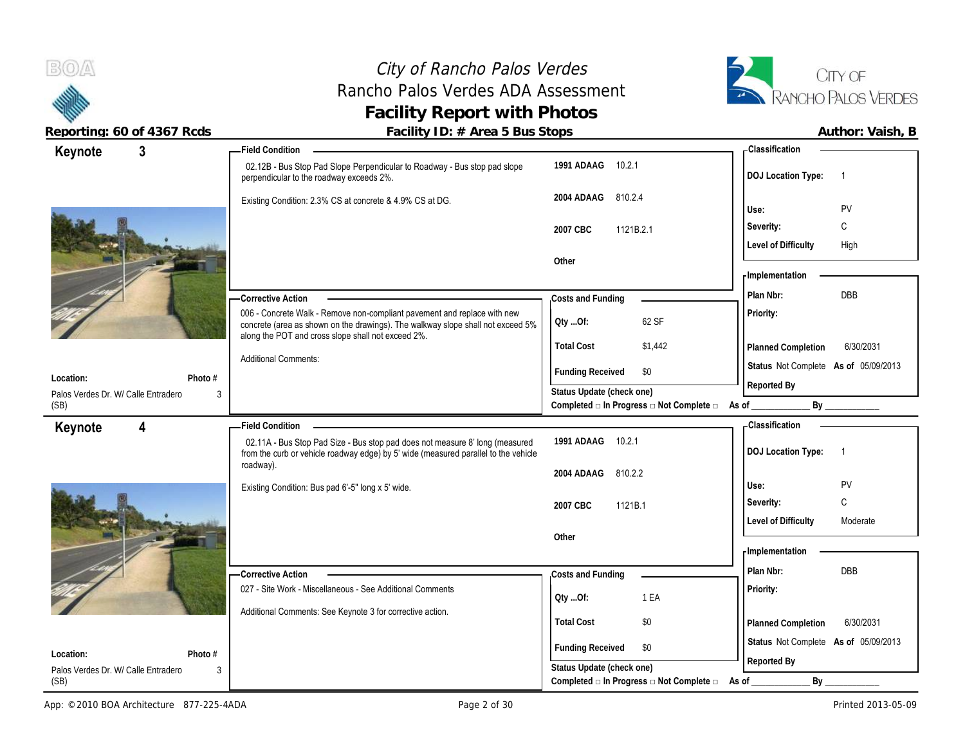



| Author: Vaish |  |
|---------------|--|
|               |  |

| 3<br>Keynote                                | Field Condition –                                                                                                                                                                                                 |                                                                                               | - Classification                                      |
|---------------------------------------------|-------------------------------------------------------------------------------------------------------------------------------------------------------------------------------------------------------------------|-----------------------------------------------------------------------------------------------|-------------------------------------------------------|
|                                             | 02.12B - Bus Stop Pad Slope Perpendicular to Roadway - Bus stop pad slope<br>perpendicular to the roadway exceeds 2%.                                                                                             | 1991 ADAAG 10.2.1                                                                             | <b>DOJ</b> Location Type:<br>$\overline{1}$           |
|                                             | Existing Condition: 2.3% CS at concrete & 4.9% CS at DG.                                                                                                                                                          | 2004 ADAAG<br>810.2.4                                                                         |                                                       |
|                                             |                                                                                                                                                                                                                   |                                                                                               | Use:<br>PV                                            |
|                                             |                                                                                                                                                                                                                   | 2007 CBC<br>1121B.2.1                                                                         | C<br>Severity:                                        |
|                                             |                                                                                                                                                                                                                   |                                                                                               | <b>Level of Difficulty</b><br>High                    |
|                                             |                                                                                                                                                                                                                   | Other                                                                                         | <b>Implementation</b>                                 |
|                                             |                                                                                                                                                                                                                   |                                                                                               |                                                       |
|                                             | - Corrective Action                                                                                                                                                                                               | Costs and Funding                                                                             | <b>DBB</b><br>Plan Nbr:                               |
|                                             | 006 - Concrete Walk - Remove non-compliant pavement and replace with new<br>concrete (area as shown on the drawings). The walkway slope shall not exceed 5%<br>along the POT and cross slope shall not exceed 2%. | 62 SF<br>QtyOf:                                                                               | Priority:                                             |
|                                             |                                                                                                                                                                                                                   | <b>Total Cost</b><br>\$1,442                                                                  | 6/30/2031<br>Planned Completion                       |
|                                             | <b>Additional Comments:</b>                                                                                                                                                                                       | <b>Funding Received</b><br>\$0                                                                | Status Not Complete As of 05/09/2013                  |
| Location:                                   | Photo #                                                                                                                                                                                                           | Status Update (check one)                                                                     | Reported By                                           |
| Palos Verdes Dr. W/ Calle Entradero<br>(SB) | 3                                                                                                                                                                                                                 | Completed □ In Progress □ Not Complete □ As of _                                              |                                                       |
| Keynote<br>4                                | <b>Field Condition</b>                                                                                                                                                                                            |                                                                                               | - Classification                                      |
|                                             | 02.11A - Bus Stop Pad Size - Bus stop pad does not measure 8' long (measured<br>from the curb or vehicle roadway edge) by 5' wide (measured parallel to the vehicle                                               | 1991 ADAAG 10.2.1                                                                             | <b>DOJ Location Type:</b><br>$\overline{\phantom{0}}$ |
|                                             |                                                                                                                                                                                                                   |                                                                                               |                                                       |
|                                             | roadway).                                                                                                                                                                                                         | 2004 ADAAG<br>810.2.2                                                                         |                                                       |
|                                             | Existing Condition: Bus pad 6'-5" long x 5' wide.                                                                                                                                                                 |                                                                                               | Use:<br>PV                                            |
|                                             |                                                                                                                                                                                                                   | 2007 CBC<br>1121B.1                                                                           | C<br>Severity:                                        |
|                                             |                                                                                                                                                                                                                   |                                                                                               | <b>Level of Difficulty</b><br>Moderate                |
|                                             |                                                                                                                                                                                                                   | Other                                                                                         |                                                       |
|                                             |                                                                                                                                                                                                                   |                                                                                               | - Implementation                                      |
|                                             | <b>Corrective Action</b>                                                                                                                                                                                          | Costs and Funding                                                                             | Plan Nbr:<br><b>DBB</b>                               |
|                                             | 027 - Site Work - Miscellaneous - See Additional Comments                                                                                                                                                         | 1 EA<br>Oty Of:                                                                               | Priority:                                             |
|                                             | Additional Comments: See Keynote 3 for corrective action.                                                                                                                                                         |                                                                                               |                                                       |
|                                             |                                                                                                                                                                                                                   | <b>Total Cost</b><br>\$0                                                                      | 6/30/2031<br>Planned Completion                       |
| Location:                                   | Photo #                                                                                                                                                                                                           | <b>Funding Received</b><br>\$0                                                                | Status Not Complete As of 05/09/2013                  |
| Palos Verdes Dr. W/ Calle Entradero<br>(SB) | 3                                                                                                                                                                                                                 | Status Update (check one)<br>Completed $\square$ In Progress $\square$ Not Complete $\square$ | Reported By<br>By                                     |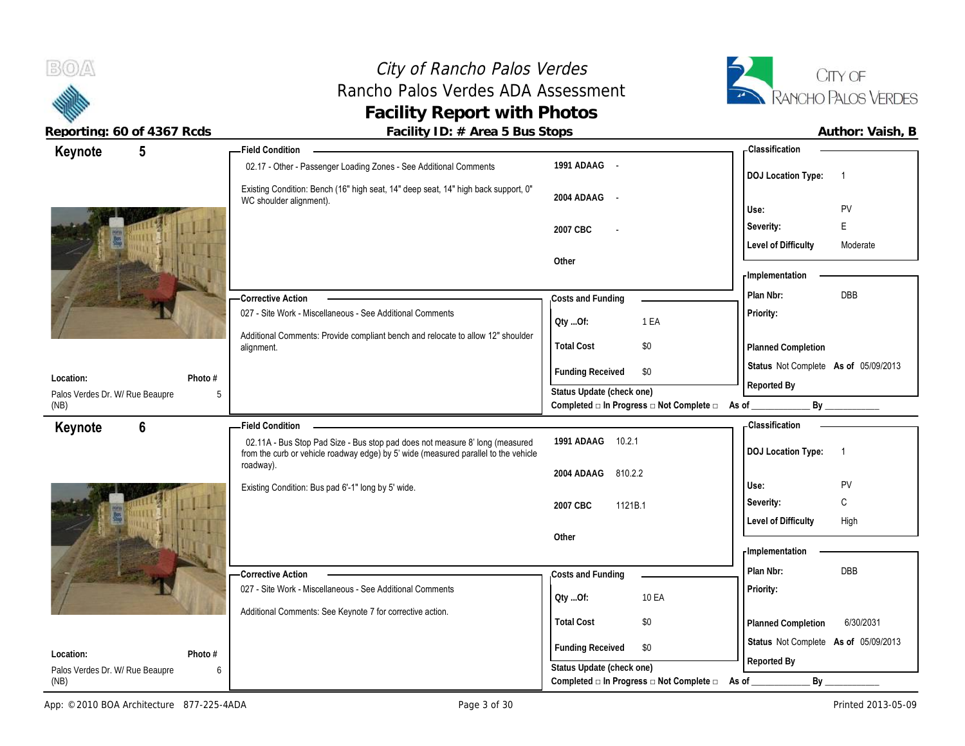# City of Rancho Palos Verdes Rancho Palos Verdes ADA Assessment **Facility Report with Photos**



| roporting: 00 or 1007 road                   |                |                                                           | r donney TD: // Twoca or Das Stops                                                                                                                                  |                           |                                          |                                      |                |
|----------------------------------------------|----------------|-----------------------------------------------------------|---------------------------------------------------------------------------------------------------------------------------------------------------------------------|---------------------------|------------------------------------------|--------------------------------------|----------------|
| Keynote                                      | 5              |                                                           | Field Condition ___                                                                                                                                                 |                           |                                          | <b>Classification</b>                |                |
|                                              |                |                                                           | 02.17 - Other - Passenger Loading Zones - See Additional Comments                                                                                                   | 1991 ADAAG -              |                                          | <b>DOJ Location Type:</b>            | $\overline{1}$ |
|                                              |                |                                                           | Existing Condition: Bench (16" high seat, 14" deep seat, 14" high back support, 0"<br>WC shoulder alignment).                                                       | 2004 ADAAG -              |                                          |                                      |                |
|                                              |                |                                                           |                                                                                                                                                                     |                           |                                          | Use:                                 | <b>PV</b><br>E |
|                                              |                |                                                           |                                                                                                                                                                     | 2007 CBC                  |                                          | Severity:                            |                |
|                                              |                |                                                           |                                                                                                                                                                     | Other                     |                                          | <b>Level of Difficulty</b>           | Moderate       |
|                                              |                |                                                           |                                                                                                                                                                     |                           |                                          | - Implementation                     |                |
|                                              |                |                                                           | - Corrective Action                                                                                                                                                 | Costs and Funding         |                                          | Plan Nbr:                            | DBB            |
|                                              |                |                                                           | 027 - Site Work - Miscellaneous - See Additional Comments                                                                                                           |                           |                                          | Priority:                            |                |
|                                              |                |                                                           | Additional Comments: Provide compliant bench and relocate to allow 12" shoulder                                                                                     | Oty Of:                   | 1 EA                                     |                                      |                |
|                                              |                |                                                           | alignment.                                                                                                                                                          | <b>Total Cost</b>         | \$0                                      | Planned Completion                   |                |
|                                              |                |                                                           |                                                                                                                                                                     | <b>Funding Received</b>   | \$0                                      | Status Not Complete As of 05/09/2013 |                |
| Location:<br>Palos Verdes Dr. W/ Rue Beaupre |                | Photo #<br>.5                                             |                                                                                                                                                                     | Status Update (check one) |                                          | Reported By                          |                |
| (NB)                                         |                |                                                           |                                                                                                                                                                     |                           | Completed □ In Progress □ Not Complete □ | As of                                | By             |
| Keynote                                      | $6\phantom{1}$ |                                                           | <b>Field Condition</b>                                                                                                                                              |                           |                                          | - Classification                     |                |
|                                              |                |                                                           | 02.11A - Bus Stop Pad Size - Bus stop pad does not measure 8' long (measured<br>from the curb or vehicle roadway edge) by 5' wide (measured parallel to the vehicle | 1991 ADAAG 10.2.1         |                                          | <b>DOJ Location Type:</b>            | $\overline{1}$ |
|                                              |                |                                                           | roadway).                                                                                                                                                           | 810.2.2<br>2004 ADAAG     |                                          |                                      |                |
|                                              |                |                                                           | Existing Condition: Bus pad 6'-1" long by 5' wide.                                                                                                                  |                           |                                          | Use:                                 | <b>PV</b>      |
|                                              |                |                                                           |                                                                                                                                                                     | 1121B.1<br>2007 CBC       |                                          | Severity:                            | C              |
|                                              |                |                                                           |                                                                                                                                                                     | Other                     |                                          | <b>Level of Difficulty</b>           | High           |
|                                              |                |                                                           |                                                                                                                                                                     |                           |                                          | - Implementation                     |                |
|                                              |                |                                                           | <b>Corrective Action</b>                                                                                                                                            | Costs and Funding         |                                          | Plan Nbr:                            | <b>DBB</b>     |
|                                              |                |                                                           | 027 - Site Work - Miscellaneous - See Additional Comments                                                                                                           |                           |                                          | Priority:                            |                |
|                                              |                | Additional Comments: See Keynote 7 for corrective action. | Oty Of:                                                                                                                                                             | 10 EA                     |                                          |                                      |                |
|                                              |                |                                                           |                                                                                                                                                                     | <b>Total Cost</b>         | \$0                                      | Planned Completion                   | 6/30/2031      |
|                                              |                |                                                           |                                                                                                                                                                     | <b>Funding Received</b>   | \$0                                      | Status Not Complete As of 05/09/2013 |                |
| Location:<br>Palos Verdes Dr. W/ Rue Beaupre |                | Photo #<br>6                                              |                                                                                                                                                                     | Status Update (check one) |                                          | Reported By                          |                |
|                                              |                |                                                           |                                                                                                                                                                     |                           |                                          |                                      |                |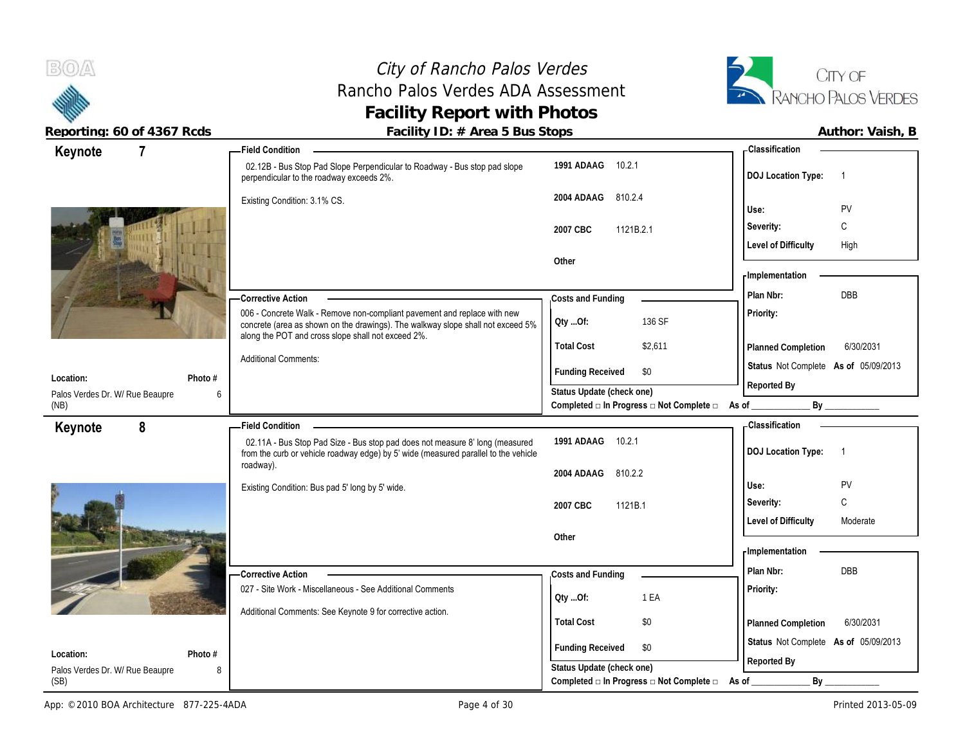**Keynote**

## City of Rancho Palos Verdes Rancho Palos Verdes ADA Assessment **Facility Report with Photos**



**Reporting: 60 of 4367 Rcds Facility ID: # Area 5 Bus Stops** 

**1991 ADAAG** 10.2.1

**2004 ADAAG** 810.2.4

**2007 CBC** 1121B.2.1

**Total Cost** \$2,611

**Qty ...Of:** 136 SF

**Other**

02.12B - Bus Stop Pad Slope Perpendicular to Roadway - Bus stop pad slope

perpendicular to the roadway exceeds 2%.

Existing Condition: 3.1% CS.

**7 Field Condition**

Additional Comments:

|                           | Author: Vaish, B |  |
|---------------------------|------------------|--|
| - Classification          |                  |  |
| <b>DOJ</b> Location Type: |                  |  |
|                           |                  |  |

**Severity:** C

Level of Difficulty High

**Planned Completion** 6/30/2031

**Priority:**

**Implementation**

**Costs and Funding Plan Nbr:** DBB

Completed **□ In Progress □ Not Complete □** As of \_\_\_\_\_\_\_\_\_\_\_\_\_\_\_\_\_\_\_\_\_\_\_\_\_\_\_\_\_\_\_\_

| - Corrective Action                                                                                                                                                                                               |
|-------------------------------------------------------------------------------------------------------------------------------------------------------------------------------------------------------------------|
| 006 - Concrete Walk - Remove non-compliant pavement and replace with new<br>concrete (area as shown on the drawings). The walkway slope shall not exceed 5%<br>along the POT and cross slope shall not exceed 2%. |

| Photo #<br>Location:<br>Palos Verdes Dr. W/ Rue Beaupre<br>6<br>(NB) |                                                                                                                                                                                  | <b>Funding Received</b><br>\$0<br>Status Update (check one)<br>Completed $\Box$ In Progress $\Box$ Not Complete $\Box$ | Status Not Complete As of 05/09/2013<br>Reported By<br>By<br>As of _ |
|----------------------------------------------------------------------|----------------------------------------------------------------------------------------------------------------------------------------------------------------------------------|------------------------------------------------------------------------------------------------------------------------|----------------------------------------------------------------------|
| Keynote<br>8                                                         | - Field Condition                                                                                                                                                                |                                                                                                                        | - Classification                                                     |
|                                                                      | 02.11A - Bus Stop Pad Size - Bus stop pad does not measure 8' long (measured<br>from the curb or vehicle roadway edge) by 5' wide (measured parallel to the vehicle<br>roadway). | 1991 ADAAG<br>10.2.1                                                                                                   | <b>DOJ</b> Location Type:                                            |
|                                                                      |                                                                                                                                                                                  | 2004 ADAAG<br>810.2.2                                                                                                  |                                                                      |
| 51                                                                   | Existing Condition: Bus pad 5' long by 5' wide.                                                                                                                                  |                                                                                                                        | PV<br>Use:                                                           |
|                                                                      |                                                                                                                                                                                  | 1121B.1<br>2007 CBC                                                                                                    | C<br>Severity:                                                       |
|                                                                      |                                                                                                                                                                                  | Other                                                                                                                  | <b>Level of Difficulty</b><br>Moderate                               |
|                                                                      |                                                                                                                                                                                  |                                                                                                                        | - Implementation                                                     |
|                                                                      | -Corrective Action                                                                                                                                                               | Costs and Funding                                                                                                      | Plan Nbr:<br>DBB                                                     |
|                                                                      | 027 - Site Work - Miscellaneous - See Additional Comments                                                                                                                        | 1 EA<br>Oty Of:                                                                                                        | <b>Priority:</b>                                                     |
|                                                                      | Additional Comments: See Keynote 9 for corrective action.                                                                                                                        | \$0<br><b>Total Cost</b>                                                                                               | 6/30/2031<br><b>Planned Completion</b>                               |
|                                                                      |                                                                                                                                                                                  |                                                                                                                        |                                                                      |
| Photo #<br>Location:                                                 |                                                                                                                                                                                  | <b>Funding Received</b><br>\$0                                                                                         | Status Not Complete As of 05/09/2013                                 |
| Palos Verdes Dr. W/ Rue Beaupre<br>8                                 |                                                                                                                                                                                  | Status Update (check one)                                                                                              | Reported By                                                          |

(SB)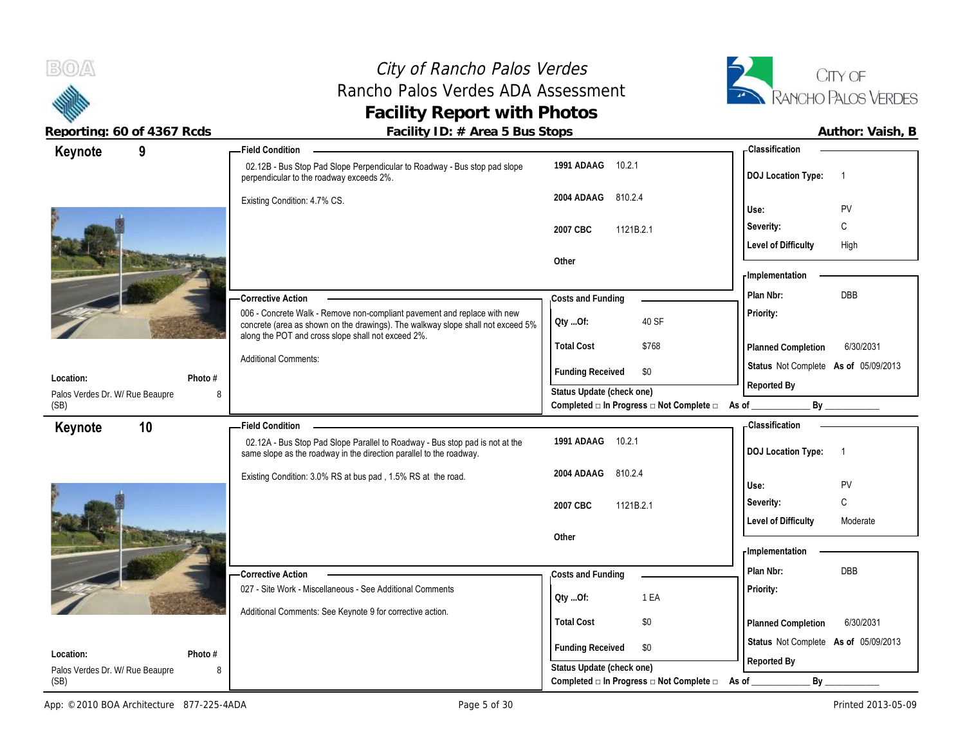

**Keynote**

**Location:**

(SB)

#### City of Rancho Palos Verdes Rancho Palos Verdes ADA Assessment **Facility Report with Photos**



Reporting: 60 of 4367 Rcds<br>**Facility ID: # Area 5 Bus Stops** 

**1991 ADAAG** 10.2.1

**2004 ADAAG** 810.2.4

**2007 CBC** 1121B.2.1

**Costs and Funding** 

**Total Cost** \$768

**Qty ...Of:** 40 SF

**Funding Received \$0** 

Completed **□** In Progress □ Not Complete □ As of \_\_\_\_\_\_\_\_\_\_\_\_\_\_\_\_ By \_

**Other**

02.12B - Bus Stop Pad Slope Perpendicular to Roadway - Bus stop pad slope

006 - Concrete Walk - Remove non-compliant pavement and replace with new concrete (area as shown on the drawings). The walkway slope shall not exceed 5%

perpendicular to the roadway exceeds 2%.

along the POT and cross slope shall not exceed 2%.

Existing Condition: 4.7% CS.

Additional Comments:

**Photo #**

**9 Field Condition**

**Corrective Action** 

|                           | Author: Vaish, B |  |
|---------------------------|------------------|--|
| - Classification          |                  |  |
| <b>DOJ Location Type:</b> |                  |  |
| Use:                      | PV               |  |
| Severity:                 |                  |  |

Level of Difficulty High

| - Implementation                     |           |  |
|--------------------------------------|-----------|--|
|                                      |           |  |
| Plan Nbr:                            | DBB       |  |
|                                      |           |  |
| Priority:                            |           |  |
|                                      |           |  |
| <b>Planned Completion</b>            | 6/30/2031 |  |
| Status Not Complete As of 05/09/2013 |           |  |
| Reported By                          |           |  |

| Palos Verdes Dr. W/ Rue Beaupre<br>8<br>(SB) |                                                                                                                                                     | Status Update (check one)<br>Completed $\square$ In Progress $\square$ Not Complete $\square$ | 10000000001<br>By<br>As of             |
|----------------------------------------------|-----------------------------------------------------------------------------------------------------------------------------------------------------|-----------------------------------------------------------------------------------------------|----------------------------------------|
| 10<br>Keynote                                | - Field Condition                                                                                                                                   |                                                                                               | - Classification                       |
|                                              | 02.12A - Bus Stop Pad Slope Parallel to Roadway - Bus stop pad is not at the<br>same slope as the roadway in the direction parallel to the roadway. | 1991 ADAAG<br>10.2.1                                                                          | <b>DOJ</b> Location Type:              |
| Ş.                                           | Existing Condition: 3.0% RS at bus pad, 1.5% RS at the road.                                                                                        | 2004 ADAAG<br>810.2.4                                                                         | PV<br>Use:                             |
|                                              |                                                                                                                                                     | 1121B.2.1<br>2007 CBC                                                                         | С<br>Severity:                         |
|                                              |                                                                                                                                                     |                                                                                               | <b>Level of Difficulty</b><br>Moderate |
|                                              |                                                                                                                                                     | Other                                                                                         | - Implementation                       |
|                                              | -Corrective Action                                                                                                                                  | Costs and Funding                                                                             | Plan Nbr:<br>DBB                       |
|                                              | 027 - Site Work - Miscellaneous - See Additional Comments                                                                                           | 1 EA<br>Oty Of:                                                                               | <b>Priority:</b>                       |
|                                              | Additional Comments: See Keynote 9 for corrective action.                                                                                           | \$0<br><b>Total Cost</b>                                                                      | 6/30/2031<br><b>Planned Completion</b> |
| Photo #<br>Location:                         |                                                                                                                                                     | <b>Funding Received</b><br>\$0                                                                | Status Not Complete As of 05/09/2013   |
| Palos Verdes Dr. W/ Rue Beaupre<br>8         |                                                                                                                                                     | Status Update (check one)                                                                     | Reported By                            |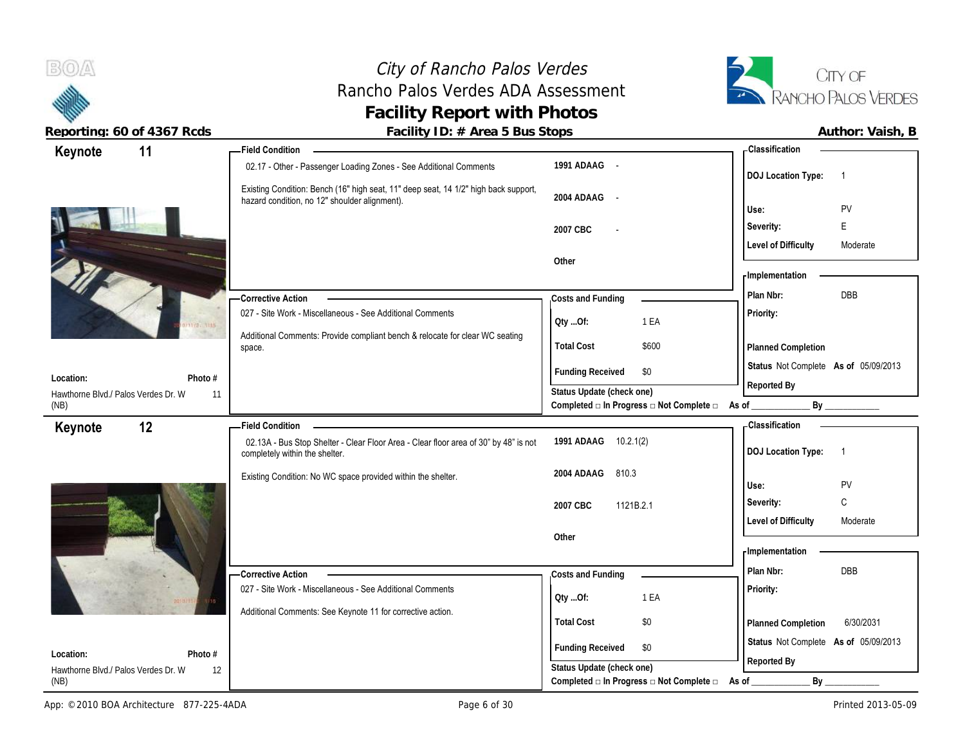# City of Rancho Palos Verdes Rancho Palos Verdes ADA Assessment **Facility Report with Photos**



|                                     | $1$ about, $15.$ $\%$ $1.00$ $0.00$ $0.00$ $0.00$                                                                                    |                                                         | , , a , , , o, , , , a, o, , , ь                      |
|-------------------------------------|--------------------------------------------------------------------------------------------------------------------------------------|---------------------------------------------------------|-------------------------------------------------------|
| 11<br>Keynote                       | <b>Field Condition</b>                                                                                                               |                                                         | - Classification                                      |
|                                     | 02.17 - Other - Passenger Loading Zones - See Additional Comments                                                                    | 1991 ADAAG -                                            | <b>DOJ Location Type:</b><br>$\overline{1}$           |
|                                     | Existing Condition: Bench (16" high seat, 11" deep seat, 14 1/2" high back support,<br>hazard condition, no 12" shoulder alignment). | 2004 ADAAG -                                            | PV<br>Use:                                            |
|                                     |                                                                                                                                      | 2007 CBC                                                | E<br>Severity:                                        |
|                                     |                                                                                                                                      |                                                         | <b>Level of Difficulty</b><br>Moderate                |
|                                     |                                                                                                                                      | Other                                                   |                                                       |
|                                     |                                                                                                                                      |                                                         | - Implementation                                      |
|                                     | - Corrective Action                                                                                                                  | Costs and Funding                                       | DBB<br>Plan Nbr:                                      |
|                                     | 027 - Site Work - Miscellaneous - See Additional Comments                                                                            | Oty Of:<br>1 EA                                         | Priority:                                             |
|                                     | Additional Comments: Provide compliant bench & relocate for clear WC seating<br>space.                                               | <b>Total Cost</b><br>\$600                              | Planned Completion                                    |
| Location:                           | Photo #                                                                                                                              | \$0<br><b>Funding Received</b>                          | Status Not Complete As of 05/09/2013                  |
| Hawthorne Blvd./ Palos Verdes Dr. W | 11                                                                                                                                   | Status Update (check one)                               | Reported By                                           |
| (NB)                                |                                                                                                                                      | Completed □ In Progress □ Not Complete □ As of _        | By                                                    |
| 12<br>Keynote                       | <b>Field Condition</b>                                                                                                               |                                                         | <b>Classification</b>                                 |
|                                     | 02.13A - Bus Stop Shelter - Clear Floor Area - Clear floor area of 30" by 48" is not<br>completely within the shelter.               | 1991 ADAAG 10.2.1(2)                                    | <b>DOJ Location Type:</b><br>$\overline{\phantom{1}}$ |
|                                     | Existing Condition: No WC space provided within the shelter.                                                                         | 2004 ADAAG<br>810.3                                     | PV<br>Use:                                            |
|                                     |                                                                                                                                      | 1121B.2.1<br>2007 CBC                                   | $\mathsf C$<br>Severity:                              |
|                                     |                                                                                                                                      |                                                         | <b>Level of Difficulty</b><br>Moderate                |
|                                     |                                                                                                                                      | Other                                                   |                                                       |
|                                     |                                                                                                                                      |                                                         | - Implementation                                      |
|                                     | - Corrective Action                                                                                                                  | Costs and Funding                                       | Plan Nbr:<br>DBB                                      |
|                                     | 027 - Site Work - Miscellaneous - See Additional Comments                                                                            | 1 EA<br>Oty Of:                                         | Priority:                                             |
|                                     | Additional Comments: See Keynote 11 for corrective action.                                                                           |                                                         |                                                       |
|                                     |                                                                                                                                      | <b>Total Cost</b><br>$$0$                               | 6/30/2031<br>Planned Completion                       |
| Location:                           | Photo #                                                                                                                              | <b>Funding Received</b><br>\$0                          | Status Not Complete As of 05/09/2013                  |
| Hawthorne Blvd./ Palos Verdes Dr. W | 12                                                                                                                                   | Status Update (check one)                               | Reported By                                           |
| (NB)                                |                                                                                                                                      | Completed $\Box$ In Progress $\Box$ Not Complete $\Box$ | By<br>As of                                           |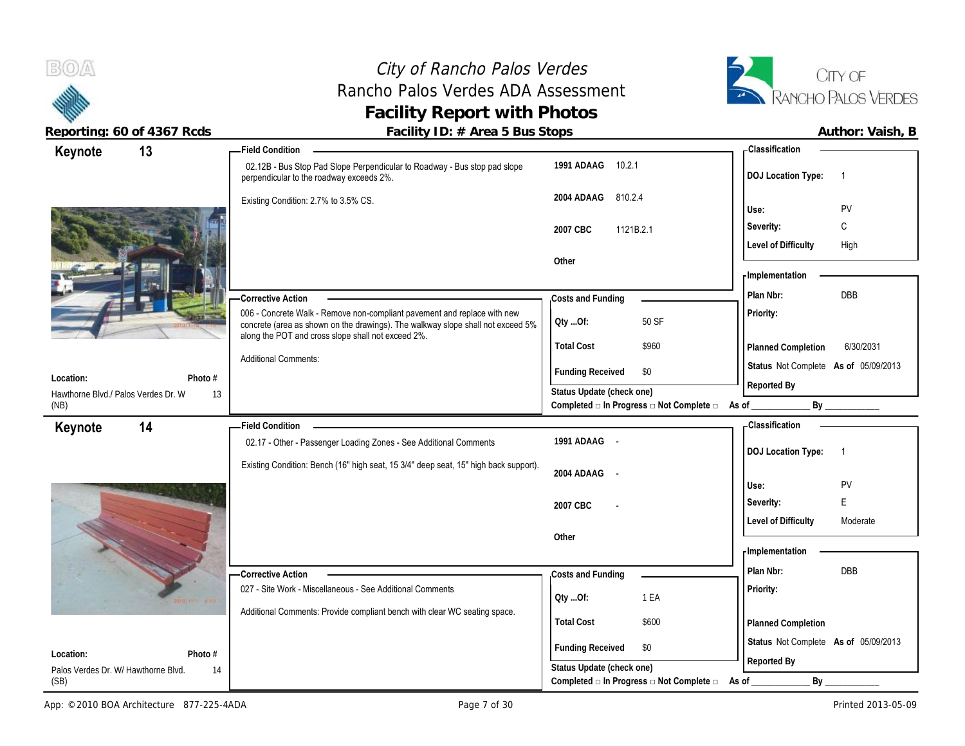



| REPULLING. OU UL 4307 RUUS          |         | $F$ activity $D \cdot \pi$ . At ease busingle proportional $F$                                                                                                                                                    |                           |                                                                 |                                      | AULIIUI. VAISII, D |
|-------------------------------------|---------|-------------------------------------------------------------------------------------------------------------------------------------------------------------------------------------------------------------------|---------------------------|-----------------------------------------------------------------|--------------------------------------|--------------------|
| Keynote                             | 13      | <b>Field Condition</b>                                                                                                                                                                                            |                           |                                                                 | <b>Classification</b>                |                    |
|                                     |         | 02.12B - Bus Stop Pad Slope Perpendicular to Roadway - Bus stop pad slope<br>perpendicular to the roadway exceeds 2%.                                                                                             | 1991 ADAAG<br>10.2.1      |                                                                 | <b>DOJ Location Type:</b>            | $\overline{1}$     |
|                                     |         | Existing Condition: 2.7% to 3.5% CS.                                                                                                                                                                              | 2004 ADAAG<br>810.2.4     |                                                                 |                                      |                    |
|                                     |         |                                                                                                                                                                                                                   |                           |                                                                 | Use:                                 | <b>PV</b>          |
|                                     |         |                                                                                                                                                                                                                   | 2007 CBC<br>1121B.2.1     |                                                                 | Severity:                            | C                  |
|                                     |         |                                                                                                                                                                                                                   |                           |                                                                 | <b>Level of Difficulty</b>           | High               |
|                                     |         |                                                                                                                                                                                                                   | Other                     |                                                                 | Implementation                       |                    |
|                                     |         |                                                                                                                                                                                                                   |                           |                                                                 |                                      |                    |
|                                     |         | <b>Corrective Action</b>                                                                                                                                                                                          | Costs and Funding         |                                                                 | Plan Nbr:                            | DBB                |
|                                     |         | 006 - Concrete Walk - Remove non-compliant pavement and replace with new<br>concrete (area as shown on the drawings). The walkway slope shall not exceed 5%<br>along the POT and cross slope shall not exceed 2%. | Oty Of:                   | 50 SF                                                           | Priority:                            |                    |
|                                     |         |                                                                                                                                                                                                                   | <b>Total Cost</b>         | \$960                                                           | Planned Completion                   | 6/30/2031          |
| Location:                           | Photo # | <b>Additional Comments:</b>                                                                                                                                                                                       | <b>Funding Received</b>   | \$0                                                             | Status Not Complete As of 05/09/2013 |                    |
| Hawthorne Blvd./ Palos Verdes Dr. W | 13      |                                                                                                                                                                                                                   | Status Update (check one) |                                                                 | Reported By                          |                    |
| (NB)                                |         |                                                                                                                                                                                                                   |                           | Completed $\Box$ In Progress $\Box$ Not Complete $\Box$ As of _ | By                                   |                    |
| Keynote                             | 14      | <b>Field Condition</b>                                                                                                                                                                                            |                           |                                                                 | - Classification                     |                    |
|                                     |         | 02.17 - Other - Passenger Loading Zones - See Additional Comments                                                                                                                                                 | 1991 ADAAG -              |                                                                 | <b>DOJ Location Type:</b>            | $\overline{1}$     |
|                                     |         | Existing Condition: Bench (16" high seat, 15 3/4" deep seat, 15" high back support).                                                                                                                              |                           |                                                                 |                                      |                    |
|                                     |         |                                                                                                                                                                                                                   | 2004 ADAAG -              |                                                                 | Use:                                 | PV                 |
|                                     |         |                                                                                                                                                                                                                   | 2007 CBC                  |                                                                 | Severity:                            | E                  |
|                                     |         |                                                                                                                                                                                                                   |                           |                                                                 | <b>Level of Difficulty</b>           | Moderate           |
|                                     |         |                                                                                                                                                                                                                   | Other                     |                                                                 |                                      |                    |
|                                     |         |                                                                                                                                                                                                                   |                           |                                                                 | - Implementation                     |                    |
|                                     |         | -Corrective Action                                                                                                                                                                                                | Costs and Funding         |                                                                 | Plan Nbr:                            | DBB                |
|                                     |         | 027 - Site Work - Miscellaneous - See Additional Comments                                                                                                                                                         |                           |                                                                 | Priority:                            |                    |
|                                     |         | Additional Comments: Provide compliant bench with clear WC seating space.                                                                                                                                         | Oty Of:                   | 1 EA                                                            |                                      |                    |
|                                     |         |                                                                                                                                                                                                                   | <b>Total Cost</b>         | \$600                                                           | Planned Completion                   |                    |
| Location:                           | Photo # |                                                                                                                                                                                                                   | <b>Funding Received</b>   | \$0                                                             | Status Not Complete As of 05/09/2013 |                    |
| Palos Verdes Dr. W/ Hawthorne Blvd. | 14      |                                                                                                                                                                                                                   | Status Update (check one) |                                                                 | Reported By                          |                    |
| (SB)                                |         |                                                                                                                                                                                                                   |                           | Completed $\Box$ In Progress $\Box$ Not Complete $\Box$         | By<br>As of                          |                    |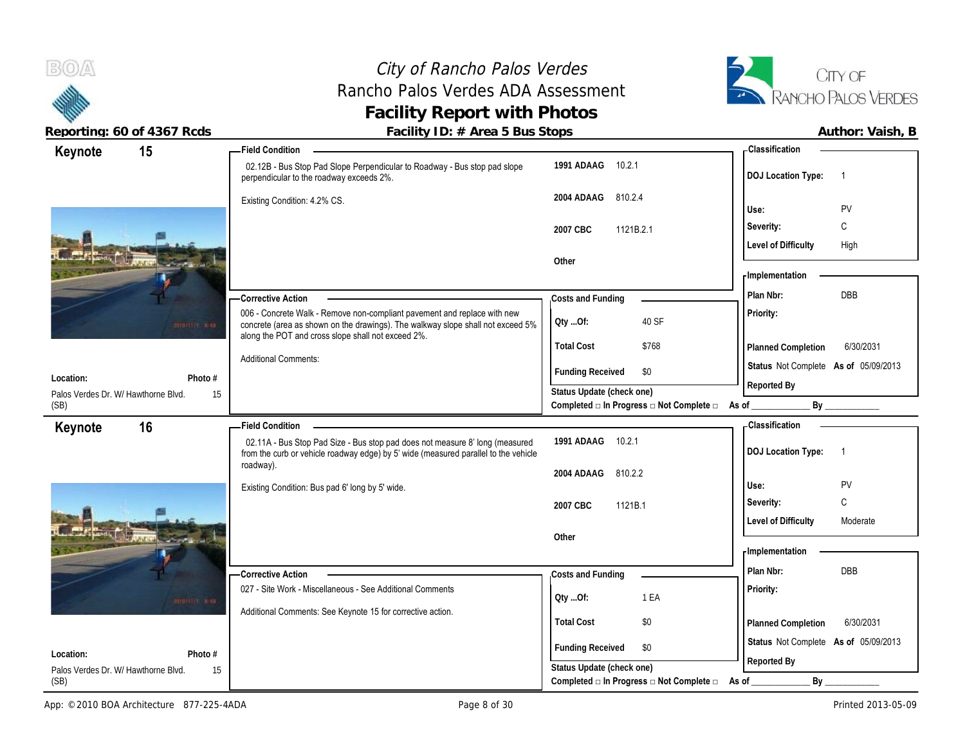## City of Rancho Palos Verdes Rancho Palos Verdes ADA Assessment **Facility Report with Photos**



| 15<br>Keynote                                     | <b>Field Condition</b>                                                                                                                                                           |                                                                                      | - Classification                            |
|---------------------------------------------------|----------------------------------------------------------------------------------------------------------------------------------------------------------------------------------|--------------------------------------------------------------------------------------|---------------------------------------------|
|                                                   | 02.12B - Bus Stop Pad Slope Perpendicular to Roadway - Bus stop pad slope<br>perpendicular to the roadway exceeds 2%.                                                            | 1991 ADAAG 10.2.1                                                                    | <b>DOJ Location Type:</b><br>$\overline{1}$ |
|                                                   | Existing Condition: 4.2% CS.                                                                                                                                                     | 2004 ADAAG<br>810.2.4                                                                | PV<br>Use:                                  |
|                                                   |                                                                                                                                                                                  |                                                                                      | C<br>Severity:                              |
|                                                   |                                                                                                                                                                                  | 2007 CBC<br>1121B.2.1                                                                | <b>Level of Difficulty</b><br>High          |
|                                                   |                                                                                                                                                                                  | Other                                                                                |                                             |
|                                                   |                                                                                                                                                                                  |                                                                                      | - Implementation                            |
|                                                   | -Corrective Action                                                                                                                                                               | Costs and Funding                                                                    | <b>DBB</b><br>Plan Nbr:                     |
| million ses                                       | 006 - Concrete Walk - Remove non-compliant pavement and replace with new<br>concrete (area as shown on the drawings). The walkway slope shall not exceed 5%                      | 40 SF<br>Qty Of:                                                                     | Priority:                                   |
|                                                   | along the POT and cross slope shall not exceed 2%.                                                                                                                               | <b>Total Cost</b><br>\$768                                                           | 6/30/2031<br>Planned Completion             |
|                                                   | <b>Additional Comments:</b>                                                                                                                                                      | <b>Funding Received</b><br>\$0                                                       | Status Not Complete As of 05/09/2013        |
| Location:<br>Photo $#$                            |                                                                                                                                                                                  |                                                                                      | Reported By                                 |
| Palos Verdes Dr. W/ Hawthorne Blvd.<br>15<br>(SB) |                                                                                                                                                                                  | Status Update (check one)<br>Completed □ In Progress □ Not Complete □                | As of _                                     |
| 16                                                | <b>Field Condition</b>                                                                                                                                                           |                                                                                      | <b>Classification</b>                       |
| Keynote                                           | 02.11A - Bus Stop Pad Size - Bus stop pad does not measure 8' long (measured<br>from the curb or vehicle roadway edge) by 5' wide (measured parallel to the vehicle<br>roadway). | 1991 ADAAG<br>10.2.1                                                                 | <b>DOJ Location Type:</b><br>$\overline{1}$ |
|                                                   |                                                                                                                                                                                  |                                                                                      |                                             |
|                                                   |                                                                                                                                                                                  | 810.2.2<br>2004 ADAAG                                                                |                                             |
|                                                   | Existing Condition: Bus pad 6' long by 5' wide.                                                                                                                                  |                                                                                      | PV<br>Use:                                  |
|                                                   |                                                                                                                                                                                  | 2007 CBC<br>1121B.1                                                                  | C<br>Severity:                              |
|                                                   |                                                                                                                                                                                  |                                                                                      | <b>Level of Difficulty</b><br>Moderate      |
|                                                   |                                                                                                                                                                                  | Other                                                                                | - Implementation                            |
|                                                   |                                                                                                                                                                                  |                                                                                      | Plan Nbr:<br><b>DBB</b>                     |
|                                                   | -Corrective Action<br>027 - Site Work - Miscellaneous - See Additional Comments                                                                                                  | Costs and Funding                                                                    |                                             |
| million ses                                       |                                                                                                                                                                                  | 1 EA<br>QtyOf:                                                                       | Priority:                                   |
|                                                   | Additional Comments: See Keynote 15 for corrective action.                                                                                                                       | <b>Total Cost</b><br>\$0                                                             | 6/30/2031<br>Planned Completion             |
| Location:<br>Photo #                              |                                                                                                                                                                                  | <b>Funding Received</b><br>\$0                                                       | Status Not Complete As of 05/09/2013        |
| Palos Verdes Dr. W/ Hawthorne Blvd.<br>15<br>(SB) |                                                                                                                                                                                  | Status Update (check one)<br>Completed $\Box$ In Progress $\Box$ Not Complete $\Box$ | Reported By<br>By<br>As of                  |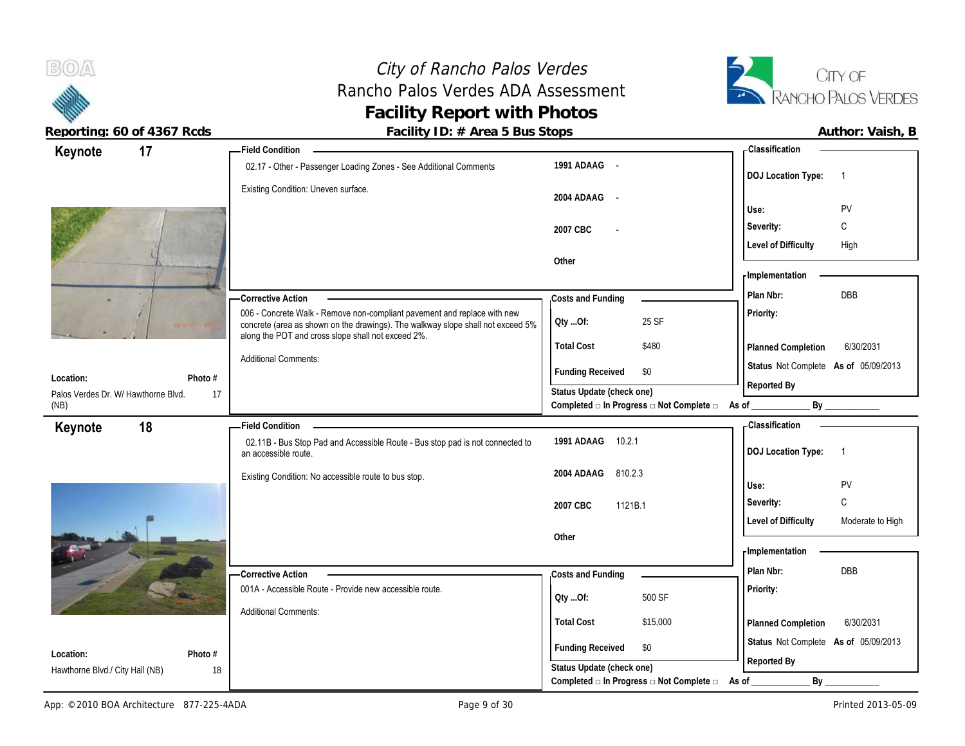#### City of Rancho Palos Verdes Rancho Palos Verdes ADA Assessment **Facility Report with Photos Reporting: 60 of 4367 Rcds Facility ID: # Area 5 Bus Stops Author: Vaish, B**



|                                           | Field Condition _______                                                                                                                                     |                                                             | <b>Classification</b>                               |
|-------------------------------------------|-------------------------------------------------------------------------------------------------------------------------------------------------------------|-------------------------------------------------------------|-----------------------------------------------------|
| 17<br>Keynote                             | 02.17 - Other - Passenger Loading Zones - See Additional Comments                                                                                           | 1991 ADAAG -                                                | <b>DOJ Location Type:</b><br>$\overline{1}$         |
|                                           | Existing Condition: Uneven surface.                                                                                                                         | 2004 ADAAG -                                                | PV<br>Use:                                          |
|                                           |                                                                                                                                                             | 2007 CBC                                                    | C<br>Severity:                                      |
|                                           |                                                                                                                                                             |                                                             | <b>Level of Difficulty</b><br>High                  |
|                                           |                                                                                                                                                             | Other                                                       |                                                     |
|                                           |                                                                                                                                                             |                                                             | <b>Implementation</b>                               |
|                                           | -Corrective Action                                                                                                                                          | Costs and Funding                                           | Plan Nbr:<br><b>DBB</b>                             |
|                                           | 006 - Concrete Walk - Remove non-compliant pavement and replace with new<br>concrete (area as shown on the drawings). The walkway slope shall not exceed 5% | 25 SF<br>QtyOf:                                             | Priority:                                           |
|                                           | along the POT and cross slope shall not exceed 2%.                                                                                                          | \$480<br><b>Total Cost</b>                                  | 6/30/2031<br>Planned Completion                     |
| Photo $#$<br>Location:                    | <b>Additional Comments:</b>                                                                                                                                 | <b>Funding Received</b><br>\$0                              | Status Not Complete As of 05/09/2013                |
| 17<br>Palos Verdes Dr. W/ Hawthorne Blvd. |                                                                                                                                                             | Status Update (check one)                                   | Reported By                                         |
| (NB)                                      |                                                                                                                                                             | Completed □ In Progress □ Not Complete □ As of _________    |                                                     |
| 18<br>Keynote                             | - Field Condition                                                                                                                                           |                                                             | - Classification                                    |
|                                           | 02.11B - Bus Stop Pad and Accessible Route - Bus stop pad is not connected to<br>an accessible route.                                                       | 1991 ADAAG 10.2.1                                           | <b>DOJ Location Type:</b><br>$\overline{1}$         |
|                                           |                                                                                                                                                             |                                                             |                                                     |
|                                           | Existing Condition: No accessible route to bus stop.                                                                                                        | 2004 ADAAG 810.2.3                                          |                                                     |
|                                           |                                                                                                                                                             |                                                             | PV<br>Use:                                          |
|                                           |                                                                                                                                                             | 1121B.1<br>2007 CBC                                         | $\mathsf C$<br>Severity:                            |
|                                           |                                                                                                                                                             | Other                                                       | <b>Level of Difficulty</b><br>Moderate to High      |
|                                           |                                                                                                                                                             |                                                             | - Implementation                                    |
|                                           | <b>Corrective Action</b>                                                                                                                                    | Costs and Funding                                           | Plan Nbr:<br><b>DBB</b>                             |
|                                           | 001A - Accessible Route - Provide new accessible route.                                                                                                     | 500 SF<br>QtyOf:                                            | Priority:                                           |
|                                           | <b>Additional Comments:</b>                                                                                                                                 |                                                             |                                                     |
|                                           |                                                                                                                                                             | <b>Total Cost</b><br>\$15,000                               | 6/30/2031<br>Planned Completion                     |
| Photo #<br>Location:                      |                                                                                                                                                             | <b>Funding Received</b><br>\$0<br>Status Update (check one) | Status Not Complete As of 05/09/2013<br>Reported By |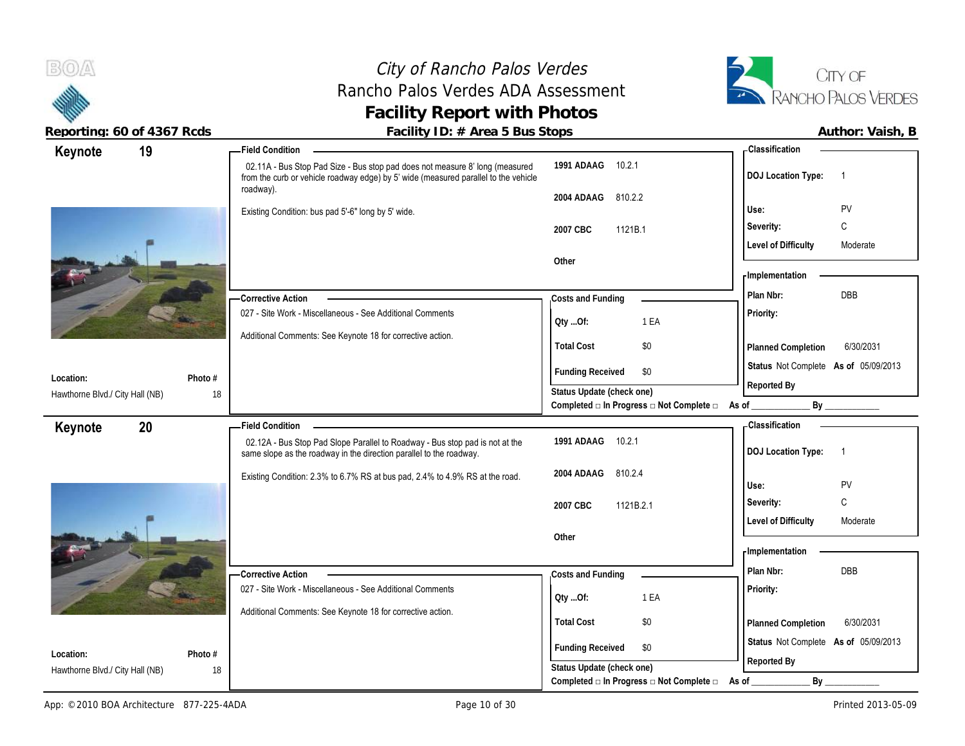## City of Rancho Palos Verdes Rancho Palos Verdes ADA Assessment **Facility Report with Photos**



| 19<br>Keynote                                           | <b>Field Condition</b>                                                                                                                                                           |                                                             | <b>Classification</b>                       |
|---------------------------------------------------------|----------------------------------------------------------------------------------------------------------------------------------------------------------------------------------|-------------------------------------------------------------|---------------------------------------------|
|                                                         | 02.11A - Bus Stop Pad Size - Bus stop pad does not measure 8' long (measured<br>from the curb or vehicle roadway edge) by 5' wide (measured parallel to the vehicle<br>roadway). | 1991 ADAAG<br>10.2.1                                        | <b>DOJ Location Type:</b><br>$\overline{1}$ |
|                                                         |                                                                                                                                                                                  | 2004 ADAAG<br>810.2.2                                       |                                             |
|                                                         | Existing Condition: bus pad 5'-6" long by 5' wide.                                                                                                                               |                                                             | <b>PV</b><br>Use:                           |
|                                                         |                                                                                                                                                                                  | 2007 CBC<br>1121B.1                                         | C<br>Severity:                              |
|                                                         |                                                                                                                                                                                  | Other                                                       | <b>Level of Difficulty</b><br>Moderate      |
|                                                         |                                                                                                                                                                                  |                                                             | - Implementation                            |
|                                                         | - Corrective Action                                                                                                                                                              | Costs and Funding                                           | DBB<br>Plan Nbr:                            |
|                                                         | 027 - Site Work - Miscellaneous - See Additional Comments                                                                                                                        |                                                             | Priority:                                   |
|                                                         | Additional Comments: See Keynote 18 for corrective action.                                                                                                                       | 1 EA<br>Oty Of:                                             |                                             |
|                                                         |                                                                                                                                                                                  | <b>Total Cost</b><br>$\$0$                                  | 6/30/2031<br>Planned Completion             |
|                                                         |                                                                                                                                                                                  | <b>Funding Received</b><br>\$0                              | Status Not Complete As of 05/09/2013        |
| Photo #<br>Location:                                    |                                                                                                                                                                                  | Status Update (check one)                                   | Reported By                                 |
| Hawthorne Blvd./ City Hall (NB)                         | 18                                                                                                                                                                               | Completed □ In Progress □ Not Complete □                    | By<br>As of                                 |
| 20<br>Keynote                                           | <b>Field Condition</b>                                                                                                                                                           |                                                             | <b>Classification</b>                       |
|                                                         | 02.12A - Bus Stop Pad Slope Parallel to Roadway - Bus stop pad is not at the                                                                                                     | 1991 ADAAG<br>10.2.1                                        | <b>DOJ Location Type:</b><br>$\overline{1}$ |
|                                                         | same slope as the roadway in the direction parallel to the roadway.                                                                                                              |                                                             |                                             |
|                                                         | Existing Condition: 2.3% to 6.7% RS at bus pad, 2.4% to 4.9% RS at the road.                                                                                                     | 2004 ADAAG<br>810.2.4                                       |                                             |
|                                                         |                                                                                                                                                                                  |                                                             | PV<br>Use:                                  |
|                                                         |                                                                                                                                                                                  | 2007 CBC<br>1121B.2.1                                       | C<br>Severity:                              |
|                                                         |                                                                                                                                                                                  |                                                             | <b>Level of Difficulty</b><br>Moderate      |
|                                                         |                                                                                                                                                                                  | Other                                                       | <b>Implementation</b>                       |
|                                                         |                                                                                                                                                                                  |                                                             | <b>DBB</b><br>Plan Nbr:                     |
|                                                         | -Corrective Action<br>027 - Site Work - Miscellaneous - See Additional Comments                                                                                                  | Costs and Funding                                           |                                             |
|                                                         |                                                                                                                                                                                  | 1 EA<br>QtyOf:                                              | Priority:                                   |
|                                                         | Additional Comments: See Keynote 18 for corrective action.                                                                                                                       | <b>Total Cost</b><br>$\$0$                                  | 6/30/2031<br>Planned Completion             |
|                                                         |                                                                                                                                                                                  |                                                             | Status Not Complete As of 05/09/2013        |
| Location:<br>Photo #<br>Hawthorne Blvd./ City Hall (NB) | 18                                                                                                                                                                               | <b>Funding Received</b><br>\$0<br>Status Update (check one) | Reported By                                 |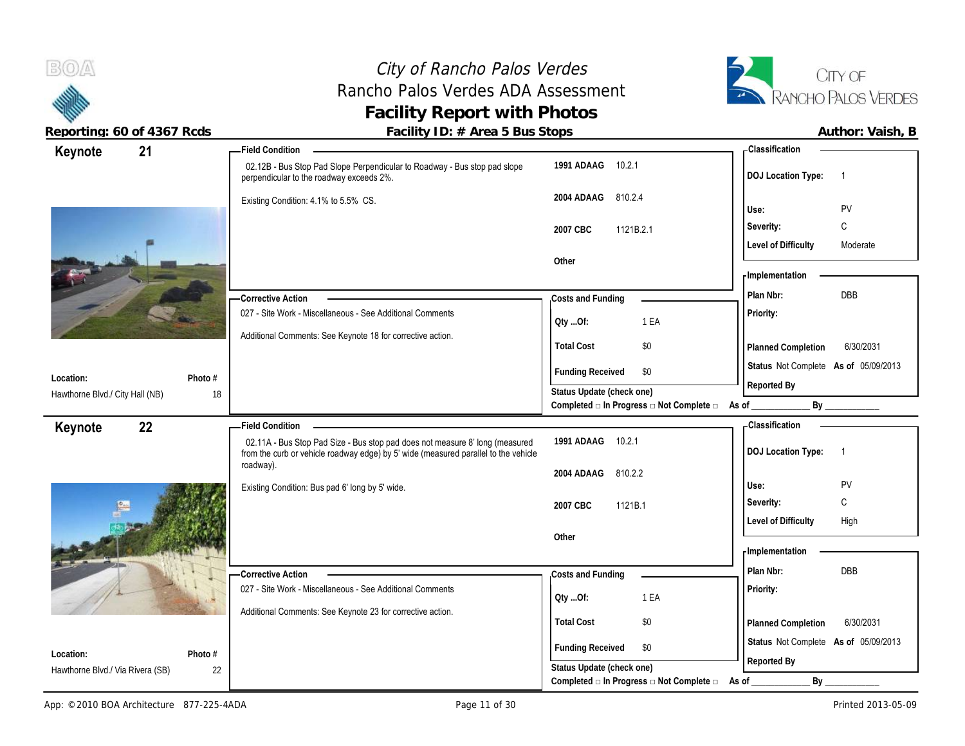### City of Rancho Palos Verdes Rancho Palos Verdes ADA Assessment **Facility Report with Photos**



| Author: Vaish, I |  |
|------------------|--|
|                  |  |

| 21<br>Keynote                          | <b>Field Condition</b>                                                                                                                                                                        |                                                                                               | - Classification                                                |
|----------------------------------------|-----------------------------------------------------------------------------------------------------------------------------------------------------------------------------------------------|-----------------------------------------------------------------------------------------------|-----------------------------------------------------------------|
|                                        | 02.12B - Bus Stop Pad Slope Perpendicular to Roadway - Bus stop pad slope<br>perpendicular to the roadway exceeds 2%.                                                                         | 1991 ADAAG 10.2.1                                                                             | <b>DOJ Location Type:</b><br>$\overline{1}$                     |
|                                        | Existing Condition: 4.1% to 5.5% CS.                                                                                                                                                          | 810.2.4<br>2004 ADAAG                                                                         | PV<br>Use:                                                      |
|                                        |                                                                                                                                                                                               | 2007 CBC<br>1121B.2.1                                                                         | C<br>Severity:                                                  |
|                                        |                                                                                                                                                                                               |                                                                                               | <b>Level of Difficulty</b><br>Moderate                          |
|                                        |                                                                                                                                                                                               | Other                                                                                         |                                                                 |
|                                        |                                                                                                                                                                                               |                                                                                               | <b>Implementation</b>                                           |
|                                        | <b>Corrective Action</b>                                                                                                                                                                      | Costs and Funding                                                                             | DBB<br>Plan Nbr:                                                |
|                                        | 027 - Site Work - Miscellaneous - See Additional Comments                                                                                                                                     | 1 EA<br>Qty Of:                                                                               | Priority:                                                       |
|                                        | Additional Comments: See Keynote 18 for corrective action.                                                                                                                                    | <b>Total Cost</b><br>\$0                                                                      | Planned Completion<br>6/30/2031                                 |
| Location:<br>Photo #                   |                                                                                                                                                                                               | <b>Funding Received</b><br>\$0                                                                | Status Not Complete As of 05/09/2013<br>Reported By             |
| Hawthorne Blvd./ City Hall (NB)<br>18  |                                                                                                                                                                                               | Status Update (check one)<br>Completed □ In Progress □ Not Complete □                         | By<br>As of                                                     |
|                                        |                                                                                                                                                                                               |                                                                                               |                                                                 |
| 22<br>Keynote                          | <b>Field Condition</b><br>02.11A - Bus Stop Pad Size - Bus stop pad does not measure 8' long (measured<br>from the curb or vehicle roadway edge) by 5' wide (measured parallel to the vehicle | 1991 ADAAG 10.2.1                                                                             | - Classification<br><b>DOJ Location Type:</b><br>$\overline{1}$ |
|                                        | roadway).                                                                                                                                                                                     |                                                                                               |                                                                 |
|                                        |                                                                                                                                                                                               | 810.2.2<br>2004 ADAAG                                                                         |                                                                 |
|                                        | Existing Condition: Bus pad 6' long by 5' wide.                                                                                                                                               |                                                                                               | Use:<br>PV                                                      |
|                                        |                                                                                                                                                                                               | 2007 CBC<br>1121B.1                                                                           | C<br>Severity:                                                  |
|                                        |                                                                                                                                                                                               |                                                                                               | <b>Level of Difficulty</b><br>High                              |
|                                        |                                                                                                                                                                                               | Other                                                                                         |                                                                 |
|                                        |                                                                                                                                                                                               |                                                                                               | - Implementation                                                |
|                                        | <b>Corrective Action</b>                                                                                                                                                                      | Costs and Funding                                                                             | DBB<br>Plan Nbr:                                                |
|                                        | 027 - Site Work - Miscellaneous - See Additional Comments                                                                                                                                     | 1 EA<br>QtyOf:                                                                                | Priority:                                                       |
|                                        | Additional Comments: See Keynote 23 for corrective action.                                                                                                                                    |                                                                                               |                                                                 |
|                                        |                                                                                                                                                                                               | <b>Total Cost</b><br>\$0                                                                      | 6/30/2031<br>Planned Completion                                 |
| Location:<br>Photo #                   |                                                                                                                                                                                               | <b>Funding Received</b><br>\$0                                                                | Status Not Complete As of 05/09/2013                            |
| Hawthorne Blvd./ Via Rivera (SB)<br>22 |                                                                                                                                                                                               | Status Update (check one)<br>Completed $\square$ In Progress $\square$ Not Complete $\square$ | Reported By<br>By<br>As of                                      |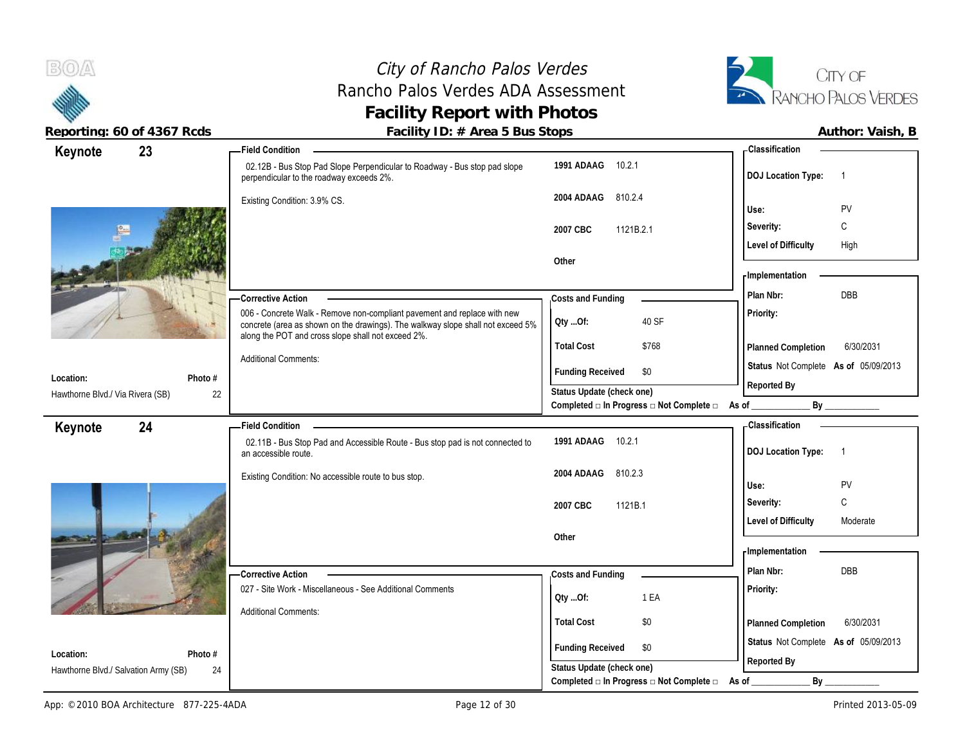

## City of Rancho Palos Verdes Rancho Palos Verdes ADA Assessment **Facility Report with Photos**



| 23<br>Keynote                                                  | <b>Field Condition</b>                                                                                                                                                                                            |                                                                                               | - Classification                            |
|----------------------------------------------------------------|-------------------------------------------------------------------------------------------------------------------------------------------------------------------------------------------------------------------|-----------------------------------------------------------------------------------------------|---------------------------------------------|
|                                                                | 02.12B - Bus Stop Pad Slope Perpendicular to Roadway - Bus stop pad slope<br>perpendicular to the roadway exceeds 2%.                                                                                             | 1991 ADAAG<br>10.2.1                                                                          | <b>DOJ Location Type:</b><br>$\overline{1}$ |
|                                                                | Existing Condition: 3.9% CS.                                                                                                                                                                                      | 2004 ADAAG<br>810.2.4                                                                         | PV<br>Use:                                  |
|                                                                |                                                                                                                                                                                                                   | 1121B.2.1<br>2007 CBC                                                                         | Severity:<br>C                              |
|                                                                |                                                                                                                                                                                                                   |                                                                                               | <b>Level of Difficulty</b><br>High          |
|                                                                |                                                                                                                                                                                                                   | Other                                                                                         |                                             |
|                                                                |                                                                                                                                                                                                                   |                                                                                               | - Implementation                            |
|                                                                | <b>Corrective Action</b>                                                                                                                                                                                          | Costs and Funding                                                                             | DBB<br>Plan Nbr:                            |
|                                                                | 006 - Concrete Walk - Remove non-compliant pavement and replace with new<br>concrete (area as shown on the drawings). The walkway slope shall not exceed 5%<br>along the POT and cross slope shall not exceed 2%. | 40 SF<br>Oty Of:                                                                              | Priority:                                   |
|                                                                |                                                                                                                                                                                                                   | <b>Total Cost</b><br>\$768                                                                    | 6/30/2031<br>Planned Completion             |
|                                                                | <b>Additional Comments:</b>                                                                                                                                                                                       | <b>Funding Received</b><br>\$0                                                                | Status Not Complete As of 05/09/2013        |
| Location:<br>Photo #<br>Hawthorne Blvd./ Via Rivera (SB)<br>22 |                                                                                                                                                                                                                   | Status Update (check one)                                                                     | Reported By                                 |
|                                                                |                                                                                                                                                                                                                   | Completed □ In Progress □ Not Complete □ As of                                                | By                                          |
|                                                                |                                                                                                                                                                                                                   |                                                                                               |                                             |
| 24<br>Keynote                                                  | <b>Field Condition</b>                                                                                                                                                                                            |                                                                                               | - Classification                            |
|                                                                | 02.11B - Bus Stop Pad and Accessible Route - Bus stop pad is not connected to<br>an accessible route.                                                                                                             | 1991 ADAAG<br>10.2.1                                                                          | <b>DOJ Location Type:</b><br>$\overline{1}$ |
|                                                                | Existing Condition: No accessible route to bus stop.                                                                                                                                                              | 810.2.3<br>2004 ADAAG                                                                         |                                             |
|                                                                |                                                                                                                                                                                                                   |                                                                                               | PV<br>Use:                                  |
|                                                                |                                                                                                                                                                                                                   | 1121B.1<br>2007 CBC                                                                           | $\mathsf{C}$<br>Severity:                   |
|                                                                |                                                                                                                                                                                                                   | Other                                                                                         | <b>Level of Difficulty</b><br>Moderate      |
|                                                                |                                                                                                                                                                                                                   |                                                                                               | - Implementation                            |
|                                                                | - Corrective Action                                                                                                                                                                                               | Costs and Funding                                                                             | Plan Nbr:<br>DBB                            |
|                                                                | 027 - Site Work - Miscellaneous - See Additional Comments                                                                                                                                                         | 1 EA                                                                                          | Priority:                                   |
|                                                                | <b>Additional Comments:</b>                                                                                                                                                                                       | QtyOf:                                                                                        |                                             |
|                                                                |                                                                                                                                                                                                                   | <b>Total Cost</b><br>\$0                                                                      | 6/30/2031<br>Planned Completion             |
| Location:<br>Photo #                                           |                                                                                                                                                                                                                   | <b>Funding Received</b><br>\$0                                                                | Status Not Complete As of 05/09/2013        |
| Hawthorne Blvd./ Salvation Army (SB)<br>24                     |                                                                                                                                                                                                                   | Status Update (check one)<br>Completed $\square$ In Progress $\square$ Not Complete $\square$ | Reported By<br>By<br>As of                  |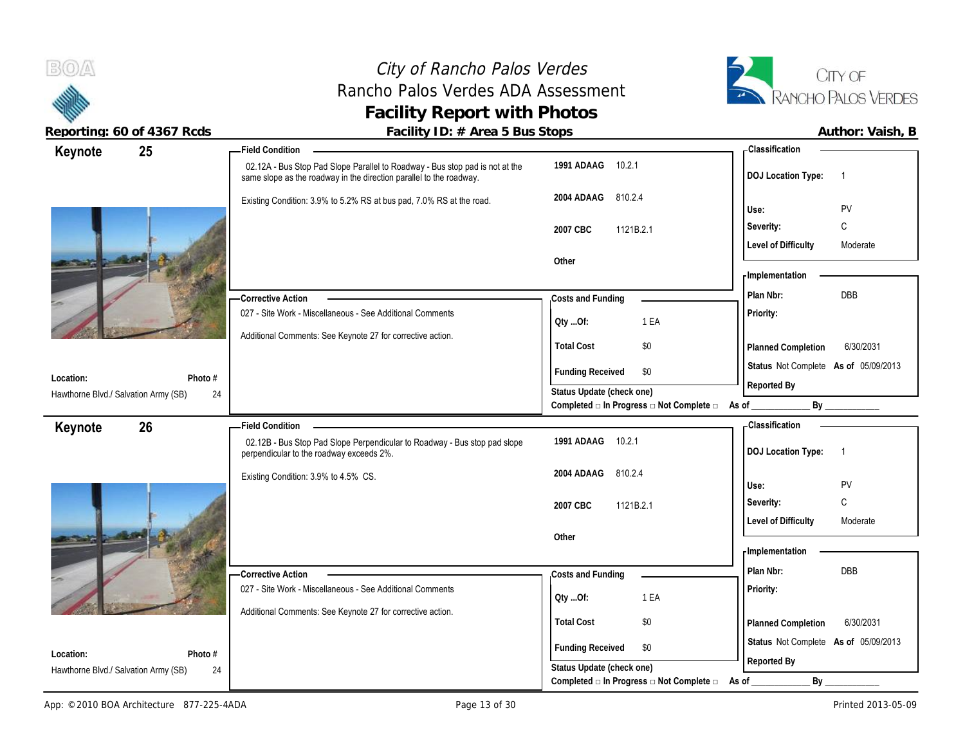

|                                      | Reporting: 60 of 4367 Rcds | Facility ID: # Area 5 Bus Stops                                                                                                                     |                                                                        |                                                     | Author: Vaish, B   |
|--------------------------------------|----------------------------|-----------------------------------------------------------------------------------------------------------------------------------------------------|------------------------------------------------------------------------|-----------------------------------------------------|--------------------|
| Keynote                              | 25                         | <b>Field Condition</b>                                                                                                                              |                                                                        | <b>Classification</b>                               |                    |
|                                      |                            | 02.12A - Bus Stop Pad Slope Parallel to Roadway - Bus stop pad is not at the<br>same slope as the roadway in the direction parallel to the roadway. | 1991 ADAAG 10.2.1                                                      | <b>DOJ Location Type:</b>                           | $\overline{1}$     |
|                                      |                            | Existing Condition: 3.9% to 5.2% RS at bus pad, 7.0% RS at the road.                                                                                | 2004 ADAAG 810.2.4                                                     | Use:                                                | PV                 |
|                                      |                            |                                                                                                                                                     | 2007 CBC<br>1121B.2.1                                                  | Severity:                                           | $\mathsf{C}$       |
|                                      |                            |                                                                                                                                                     |                                                                        | <b>Level of Difficulty</b>                          | Moderate           |
|                                      |                            |                                                                                                                                                     | Other                                                                  | <b>Implementation</b>                               |                    |
|                                      |                            | -Corrective Action                                                                                                                                  | Costs and Funding                                                      | Plan Nbr:                                           | <b>DBB</b>         |
|                                      |                            | 027 - Site Work - Miscellaneous - See Additional Comments                                                                                           | 1 EA<br>Oty Of:                                                        | Priority:                                           |                    |
|                                      |                            | Additional Comments: See Keynote 27 for corrective action.                                                                                          |                                                                        |                                                     |                    |
|                                      |                            |                                                                                                                                                     | \$0<br><b>Total Cost</b>                                               | Planned Completion                                  | 6/30/2031          |
| Location:                            | Photo $#$                  |                                                                                                                                                     | <b>Funding Received</b><br>\$0                                         | Status Not Complete As of 05/09/2013                |                    |
| Hawthorne Blvd./ Salvation Army (SB) | 24                         |                                                                                                                                                     | Status Update (check one)                                              | Reported By                                         |                    |
|                                      |                            |                                                                                                                                                     | Completed a In Progress and Complete and As of                         |                                                     |                    |
| Keynote                              | 26                         | <b>Field Condition</b>                                                                                                                              |                                                                        | Classification                                      |                    |
|                                      |                            | 02.12B - Bus Stop Pad Slope Perpendicular to Roadway - Bus stop pad slope<br>perpendicular to the roadway exceeds 2%.                               | 10.2.1<br>1991 ADAAG                                                   | <b>DOJ Location Type:</b>                           |                    |
|                                      |                            | Existing Condition: 3.9% to 4.5% CS.                                                                                                                | 2004 ADAAG<br>810.2.4                                                  |                                                     |                    |
|                                      |                            |                                                                                                                                                     |                                                                        | Use:<br>Severity:                                   | PV<br>$\mathsf{C}$ |
|                                      |                            |                                                                                                                                                     | 2007 CBC<br>1121B.2.1                                                  | <b>Level of Difficulty</b>                          | Moderate           |
|                                      |                            |                                                                                                                                                     | Other                                                                  |                                                     |                    |
|                                      |                            |                                                                                                                                                     |                                                                        | <b>Implementation</b>                               |                    |
|                                      |                            | -Corrective Action                                                                                                                                  | Costs and Funding                                                      | Plan Nbr:                                           | DBB                |
|                                      |                            | 027 - Site Work - Miscellaneous - See Additional Comments                                                                                           | 1 EA<br>QtyOf:                                                         | <b>Priority:</b>                                    |                    |
|                                      |                            | Additional Comments: See Keynote 27 for corrective action.                                                                                          |                                                                        |                                                     |                    |
|                                      |                            |                                                                                                                                                     | \$0<br><b>Total Cost</b>                                               | Planned Completion                                  | 6/30/2031          |
| Location:                            | Photo $#$                  |                                                                                                                                                     | <b>Funding Received</b><br>\$0                                         | Status Not Complete As of 05/09/2013<br>Reported By |                    |
| Hawthorne Blvd./ Salvation Army (SB) | 24                         |                                                                                                                                                     | Status Update (check one)                                              |                                                     |                    |
|                                      |                            |                                                                                                                                                     | Completed $\square$ In Progress $\square$ Not Complete $\square$ As of | By                                                  |                    |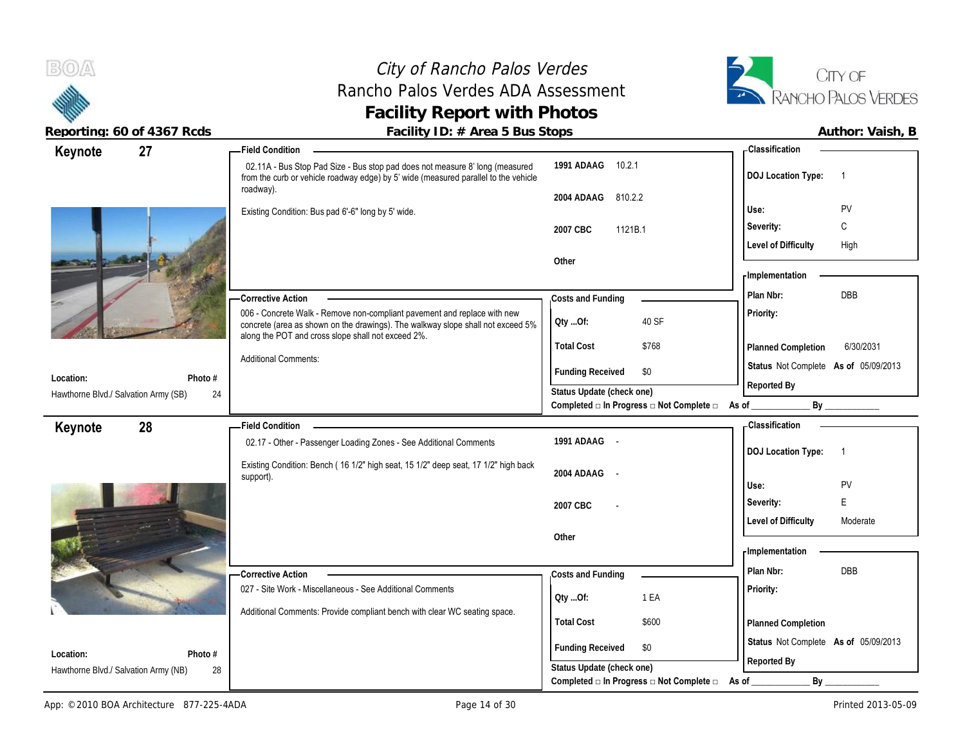#### City of Rancho Palos Verdes Rancho Palos Verdes ADA Assessment **Facility Report with Photos**



| 27<br>Keynote                              | <b>Field Condition</b>                                                                                                                                                                                            |                                                                                      | - Classification                            |
|--------------------------------------------|-------------------------------------------------------------------------------------------------------------------------------------------------------------------------------------------------------------------|--------------------------------------------------------------------------------------|---------------------------------------------|
|                                            | 02.11A - Bus Stop Pad Size - Bus stop pad does not measure 8' long (measured<br>from the curb or vehicle roadway edge) by 5' wide (measured parallel to the vehicle<br>roadway).                                  | 1991 ADAAG<br>10.2.1                                                                 | <b>DOJ Location Type:</b><br>$\overline{1}$ |
|                                            |                                                                                                                                                                                                                   | 810.2.2<br>2004 ADAAG                                                                |                                             |
|                                            | Existing Condition: Bus pad 6'-6" long by 5' wide.                                                                                                                                                                |                                                                                      | PV<br>Use:                                  |
|                                            |                                                                                                                                                                                                                   | 2007 CBC<br>1121B.1                                                                  | С<br>Severity:                              |
|                                            |                                                                                                                                                                                                                   |                                                                                      | <b>Level of Difficulty</b><br>High          |
|                                            |                                                                                                                                                                                                                   | Other                                                                                |                                             |
|                                            |                                                                                                                                                                                                                   |                                                                                      | - Implementation                            |
|                                            | - Corrective Action                                                                                                                                                                                               | Costs and Funding                                                                    | DBB<br>Plan Nbr:                            |
|                                            | 006 - Concrete Walk - Remove non-compliant pavement and replace with new<br>concrete (area as shown on the drawings). The walkway slope shall not exceed 5%<br>along the POT and cross slope shall not exceed 2%. | 40 SF<br>Qty Of:                                                                     | Priority:                                   |
|                                            |                                                                                                                                                                                                                   | <b>Total Cost</b><br>\$768                                                           | 6/30/2031<br>Planned Completion             |
| Location:<br>Photo #                       | <b>Additional Comments:</b>                                                                                                                                                                                       | <b>Funding Received</b><br>\$0                                                       | Status Not Complete As of 05/09/2013        |
| Hawthorne Blvd./ Salvation Army (SB)<br>24 |                                                                                                                                                                                                                   | Status Update (check one)                                                            | Reported By                                 |
|                                            |                                                                                                                                                                                                                   | Completed $\Box$ In Progress $\Box$ Not Complete $\Box$ As of _                      | By                                          |
| 28<br>Keynote                              | <b>Field Condition</b>                                                                                                                                                                                            |                                                                                      | <b>Classification</b>                       |
|                                            | 02.17 - Other - Passenger Loading Zones - See Additional Comments                                                                                                                                                 | 1991 ADAAG -                                                                         |                                             |
|                                            |                                                                                                                                                                                                                   |                                                                                      |                                             |
|                                            | Existing Condition: Bench (16 1/2" high seat, 15 1/2" deep seat, 17 1/2" high back                                                                                                                                | 2004 ADAAG                                                                           | <b>DOJ Location Type:</b><br>$\overline{1}$ |
|                                            | support).                                                                                                                                                                                                         |                                                                                      | PV<br>Use:                                  |
|                                            |                                                                                                                                                                                                                   | 2007 CBC                                                                             | E<br>Severity:                              |
|                                            |                                                                                                                                                                                                                   |                                                                                      | <b>Level of Difficulty</b><br>Moderate      |
|                                            |                                                                                                                                                                                                                   | Other                                                                                |                                             |
|                                            |                                                                                                                                                                                                                   |                                                                                      | - Implementation                            |
|                                            | <b>Corrective Action</b>                                                                                                                                                                                          | Costs and Funding                                                                    | DBB<br>Plan Nbr:                            |
|                                            | 027 - Site Work - Miscellaneous - See Additional Comments                                                                                                                                                         | 1 EA<br>QtyOf:                                                                       | Priority:                                   |
|                                            | Additional Comments: Provide compliant bench with clear WC seating space.                                                                                                                                         |                                                                                      |                                             |
|                                            |                                                                                                                                                                                                                   | <b>Total Cost</b><br>\$600                                                           | Planned Completion                          |
| Location:<br>Photo #                       |                                                                                                                                                                                                                   | <b>Funding Received</b><br>\$0                                                       | Status Not Complete As of 05/09/2013        |
| Hawthorne Blvd./ Salvation Army (NB)<br>28 |                                                                                                                                                                                                                   | Status Update (check one)<br>Completed $\Box$ In Progress $\Box$ Not Complete $\Box$ | Reported By<br>By<br>As of                  |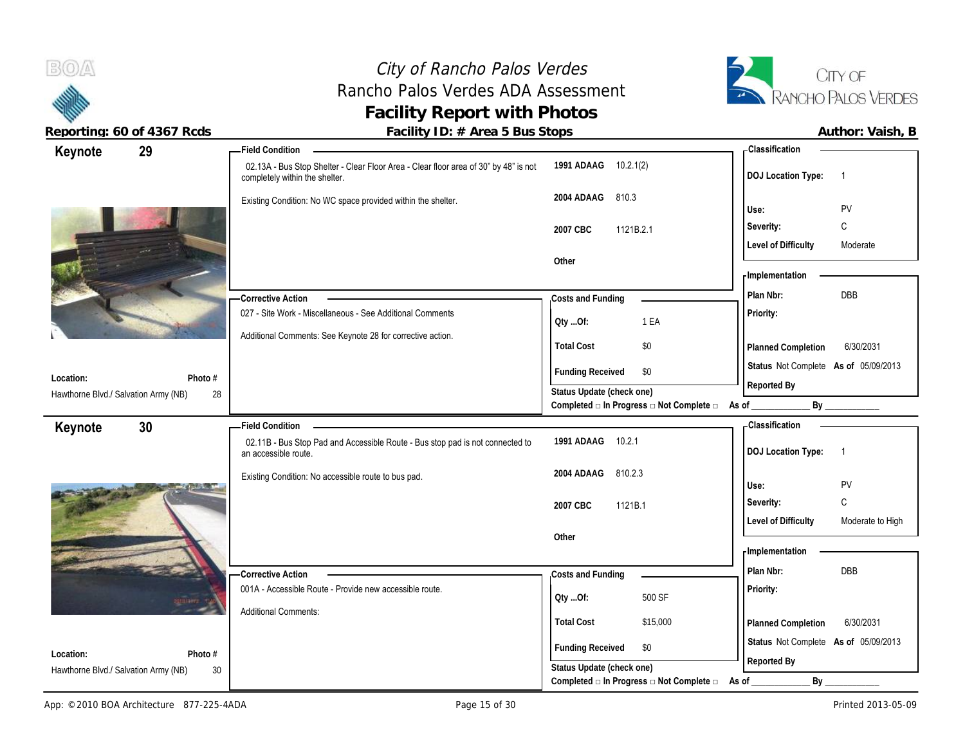#### City of Rancho Palos Verdes Rancho Palos Verdes ADA Assessment **Facility Report with Photos Reporting: 60 of 4367 Rcds Facility ID: # Area 5 Bus Stops Author: Vaish, B**



| REPULTING. OU UT 4307 RUUS           | $F = 0.1111$ TD. $H$ RIEQ 3 DUS STOPS                                                                                  |                                                                                              | AULIUI. VAISII, D                              |
|--------------------------------------|------------------------------------------------------------------------------------------------------------------------|----------------------------------------------------------------------------------------------|------------------------------------------------|
| 29<br>Keynote                        | <b>Field Condition -</b>                                                                                               |                                                                                              | <b>Classification</b>                          |
|                                      | 02.13A - Bus Stop Shelter - Clear Floor Area - Clear floor area of 30" by 48" is not<br>completely within the shelter. | 1991 ADAAG 10.2.1(2)                                                                         | <b>DOJ</b> Location Type:<br>$\overline{1}$    |
|                                      | Existing Condition: No WC space provided within the shelter.                                                           | 2004 ADAAG<br>810.3                                                                          |                                                |
|                                      |                                                                                                                        |                                                                                              | PV<br>Use:                                     |
|                                      |                                                                                                                        | 1121B.2.1<br>2007 CBC                                                                        | $\mathsf C$<br>Severity:                       |
|                                      |                                                                                                                        |                                                                                              | <b>Level of Difficulty</b><br>Moderate         |
|                                      |                                                                                                                        | Other                                                                                        | <b>Implementation</b>                          |
|                                      |                                                                                                                        |                                                                                              | DBB<br>Plan Nbr:                               |
|                                      | Corrective Action<br>027 - Site Work - Miscellaneous - See Additional Comments                                         | Costs and Funding                                                                            |                                                |
|                                      |                                                                                                                        | Qty Of:<br>1 EA                                                                              | Priority:                                      |
|                                      | Additional Comments: See Keynote 28 for corrective action.                                                             | <b>Total Cost</b><br>\$0                                                                     | 6/30/2031<br>Planned Completion                |
|                                      |                                                                                                                        | <b>Funding Received</b><br>\$0                                                               | Status Not Complete As of 05/09/2013           |
| Location:<br>Photo #                 |                                                                                                                        |                                                                                              | Reported By                                    |
| Hawthorne Blvd./ Salvation Army (NB) | 28                                                                                                                     | Status Update (check one)<br>Completed $\Box$ In Progress $\Box$ Not Complete $\Box$ As of _ | By                                             |
| Keynote<br>30                        | Field Condition -                                                                                                      |                                                                                              | <b>Classification</b>                          |
|                                      | 02.11B - Bus Stop Pad and Accessible Route - Bus stop pad is not connected to<br>an accessible route.                  | 1991 ADAAG 10.2.1                                                                            | <b>DOJ</b> Location Type:<br>$\overline{1}$    |
|                                      | Existing Condition: No accessible route to bus pad.                                                                    | 2004 ADAAG<br>810.2.3                                                                        |                                                |
|                                      |                                                                                                                        |                                                                                              | PV<br>Use:                                     |
|                                      |                                                                                                                        | 2007 CBC<br>1121B.1                                                                          | $\mathtt{C}$<br>Severity:                      |
|                                      |                                                                                                                        |                                                                                              | <b>Level of Difficulty</b><br>Moderate to High |
|                                      |                                                                                                                        | Other                                                                                        | - Implementation                               |
|                                      |                                                                                                                        |                                                                                              | Plan Nbr:<br><b>DBB</b>                        |
|                                      | <b>Corrective Action</b>                                                                                               | Costs and Funding                                                                            |                                                |
|                                      | 001A - Accessible Route - Provide new accessible route.                                                                | 500 SF<br>QtyOf:                                                                             | Priority:                                      |
|                                      | <b>Additional Comments:</b>                                                                                            | <b>Total Cost</b><br>\$15,000                                                                | 6/30/2031<br>Planned Completion                |
|                                      |                                                                                                                        |                                                                                              | Status Not Complete As of 05/09/2013           |
| Location:<br>Photo #                 |                                                                                                                        | <b>Funding Received</b><br>\$0                                                               |                                                |
| Hawthorne Blvd./ Salvation Army (NB) | 30                                                                                                                     | Status Update (check one)                                                                    | Reported By                                    |
|                                      |                                                                                                                        | Completed $\Box$ In Progress $\Box$ Not Complete $\Box$                                      | By<br>As of                                    |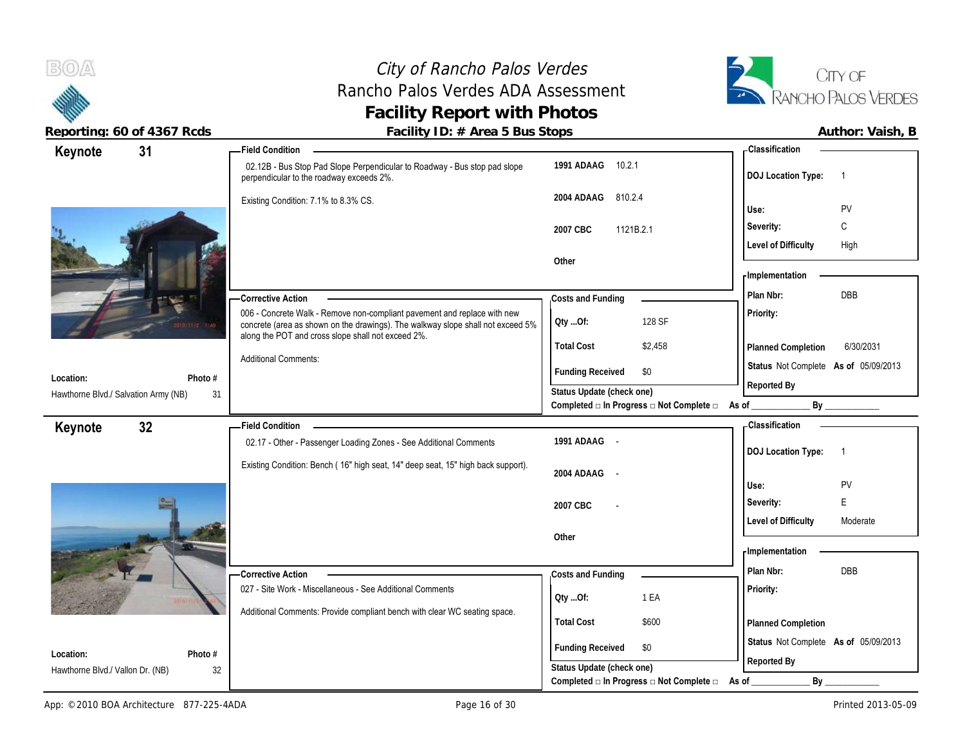

## City of Rancho Palos Verdes Rancho Palos Verdes ADA Assessment **Facility Report with Photos**



| Keynote                              | 31            | <b>Field Condition</b>                                                                                                                                                                                            |                                                                                               |                                                         | - Classification                     |                |
|--------------------------------------|---------------|-------------------------------------------------------------------------------------------------------------------------------------------------------------------------------------------------------------------|-----------------------------------------------------------------------------------------------|---------------------------------------------------------|--------------------------------------|----------------|
|                                      |               | 02.12B - Bus Stop Pad Slope Perpendicular to Roadway - Bus stop pad slope<br>perpendicular to the roadway exceeds 2%.                                                                                             | 1991 ADAAG 10.2.1                                                                             |                                                         | <b>DOJ</b> Location Type:            | $\overline{1}$ |
|                                      |               | Existing Condition: 7.1% to 8.3% CS.                                                                                                                                                                              | 2004 ADAAG<br>810.2.4                                                                         |                                                         | Use:                                 | PV             |
|                                      |               |                                                                                                                                                                                                                   | 2007 CBC<br>1121B.2.1                                                                         |                                                         | Severity:                            | C              |
|                                      |               |                                                                                                                                                                                                                   |                                                                                               |                                                         | <b>Level of Difficulty</b>           | High           |
|                                      |               |                                                                                                                                                                                                                   | Other                                                                                         |                                                         |                                      |                |
|                                      |               |                                                                                                                                                                                                                   |                                                                                               |                                                         | <b>Implementation</b>                |                |
|                                      |               | <b>Corrective Action</b>                                                                                                                                                                                          | Costs and Funding                                                                             |                                                         | Plan Nbr:                            | DBB            |
|                                      |               | 006 - Concrete Walk - Remove non-compliant pavement and replace with new<br>concrete (area as shown on the drawings). The walkway slope shall not exceed 5%<br>along the POT and cross slope shall not exceed 2%. | Oty Of:                                                                                       | 128 SF                                                  | Priority:                            |                |
|                                      |               |                                                                                                                                                                                                                   | <b>Total Cost</b>                                                                             | \$2,458                                                 | Planned Completion                   | 6/30/2031      |
|                                      |               | <b>Additional Comments:</b>                                                                                                                                                                                       | <b>Funding Received</b>                                                                       | \$0                                                     | Status Not Complete As of 05/09/2013 |                |
| Location:                            | Photo #       |                                                                                                                                                                                                                   | Status Update (check one)                                                                     |                                                         | Reported By                          |                |
| Hawthorne Blvd./ Salvation Army (NB) | 31            |                                                                                                                                                                                                                   |                                                                                               | Completed $\Box$ In Progress $\Box$ Not Complete $\Box$ | As of _                              | By             |
| Keynote                              | 32            | <b>Field Condition</b>                                                                                                                                                                                            |                                                                                               |                                                         | <b>Classification</b>                |                |
|                                      |               |                                                                                                                                                                                                                   |                                                                                               |                                                         |                                      |                |
|                                      |               | 02.17 - Other - Passenger Loading Zones - See Additional Comments                                                                                                                                                 | 1991 ADAAG -                                                                                  |                                                         | <b>DOJ Location Type:</b>            | $\overline{1}$ |
|                                      |               | Existing Condition: Bench (16" high seat, 14" deep seat, 15" high back support).                                                                                                                                  |                                                                                               |                                                         |                                      |                |
|                                      |               |                                                                                                                                                                                                                   | 2004 ADAAG                                                                                    |                                                         | Use:                                 | PV             |
|                                      |               |                                                                                                                                                                                                                   | 2007 CBC                                                                                      |                                                         | Severity:                            | E              |
|                                      |               |                                                                                                                                                                                                                   |                                                                                               |                                                         | <b>Level of Difficulty</b>           | Moderate       |
|                                      |               |                                                                                                                                                                                                                   | Other                                                                                         |                                                         |                                      |                |
|                                      |               |                                                                                                                                                                                                                   |                                                                                               |                                                         | - Implementation                     |                |
|                                      |               | -Corrective Action                                                                                                                                                                                                | Costs and Funding                                                                             |                                                         | Plan Nbr:                            | DBB            |
|                                      |               | 027 - Site Work - Miscellaneous - See Additional Comments                                                                                                                                                         | QtyOf:                                                                                        | 1 EA                                                    | Priority:                            |                |
|                                      |               | Additional Comments: Provide compliant bench with clear WC seating space.                                                                                                                                         |                                                                                               |                                                         |                                      |                |
|                                      |               |                                                                                                                                                                                                                   | <b>Total Cost</b>                                                                             | \$600                                                   | Planned Completion                   |                |
| Location:                            |               |                                                                                                                                                                                                                   | <b>Funding Received</b>                                                                       | \$0                                                     | Status Not Complete As of 05/09/2013 |                |
| Hawthorne Blvd./ Vallon Dr. (NB)     | Photo #<br>32 |                                                                                                                                                                                                                   | Status Update (check one)<br>Completed $\square$ In Progress $\square$ Not Complete $\square$ |                                                         | Reported By<br>By                    |                |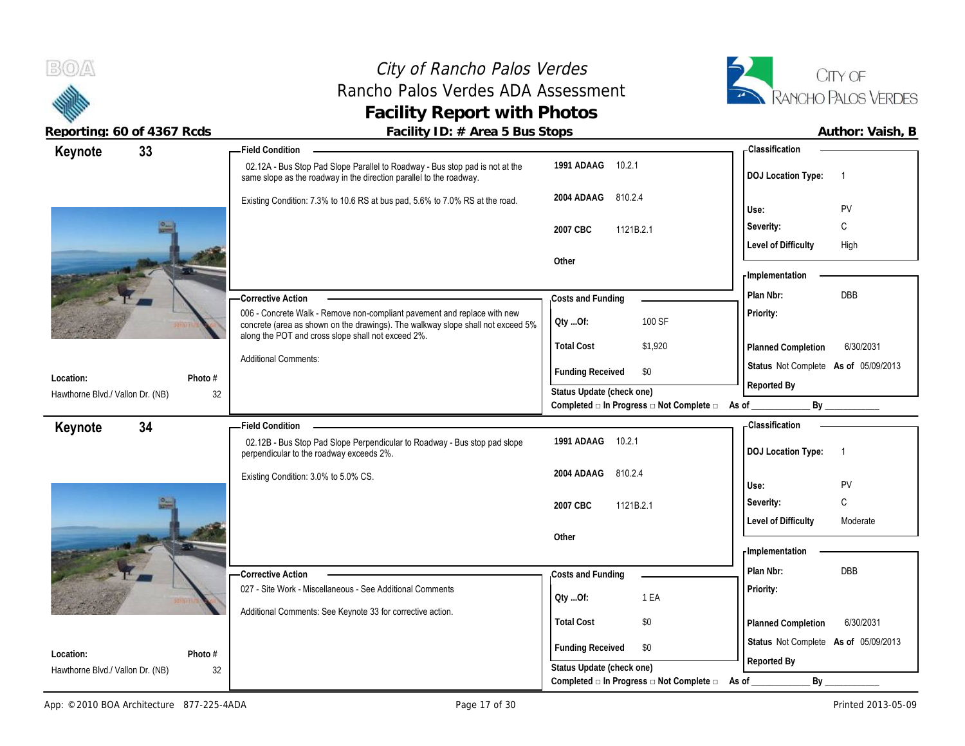#### City of Rancho Palos Verdes Rancho Palos Verdes ADA Assessment **Facility Report with Photos**



| Keynote                                       | 33            | Field Condition _______                                                                                                                                     |                                                          | - Classification                     |                          |
|-----------------------------------------------|---------------|-------------------------------------------------------------------------------------------------------------------------------------------------------------|----------------------------------------------------------|--------------------------------------|--------------------------|
|                                               |               | 02.12A - Bus Stop Pad Slope Parallel to Roadway - Bus stop pad is not at the<br>same slope as the roadway in the direction parallel to the roadway.         | 1991 ADAAG 10.2.1                                        | <b>DOJ Location Type:</b>            | $\overline{1}$           |
|                                               |               | Existing Condition: 7.3% to 10.6 RS at bus pad, 5.6% to 7.0% RS at the road.                                                                                | 2004 ADAAG<br>810.2.4                                    | Use:                                 | PV                       |
|                                               |               |                                                                                                                                                             | 2007 CBC<br>1121B.2.1                                    | Severity:                            | C                        |
|                                               |               |                                                                                                                                                             |                                                          | <b>Level of Difficulty</b>           | High                     |
|                                               |               |                                                                                                                                                             | Other                                                    |                                      |                          |
|                                               |               |                                                                                                                                                             |                                                          | - Implementation                     |                          |
|                                               |               | <b>Corrective Action</b>                                                                                                                                    | Costs and Funding                                        | Plan Nbr:                            | DBB                      |
|                                               |               | 006 - Concrete Walk - Remove non-compliant pavement and replace with new<br>concrete (area as shown on the drawings). The walkway slope shall not exceed 5% | Oty Of:<br>100 SF                                        | Priority:                            |                          |
|                                               |               | along the POT and cross slope shall not exceed 2%.                                                                                                          | <b>Total Cost</b><br>\$1,920                             | Planned Completion                   | 6/30/2031                |
|                                               |               | <b>Additional Comments:</b>                                                                                                                                 | <b>Funding Received</b><br>\$0                           | Status Not Complete As of 05/09/2013 |                          |
| Location:                                     | Photo #       |                                                                                                                                                             | Status Update (check one)                                | Reported By                          |                          |
| Hawthorne Blvd./ Vallon Dr. (NB)              | 32            |                                                                                                                                                             | Completed a In Progress a Not Complete a As of _________ |                                      | By                       |
| Keynote                                       | 34            |                                                                                                                                                             |                                                          | - Classification                     |                          |
|                                               |               | 02.12B - Bus Stop Pad Slope Perpendicular to Roadway - Bus stop pad slope<br>perpendicular to the roadway exceeds 2%.                                       | 1991 ADAAG 10.2.1                                        | <b>DOJ Location Type:</b>            | $\overline{\phantom{1}}$ |
|                                               |               |                                                                                                                                                             |                                                          |                                      |                          |
|                                               |               | Existing Condition: 3.0% to 5.0% CS.                                                                                                                        | 810.2.4<br>2004 ADAAG                                    |                                      |                          |
|                                               |               |                                                                                                                                                             |                                                          | Use:                                 | PV                       |
|                                               |               |                                                                                                                                                             | 2007 CBC<br>1121B.2.1                                    | Severity:                            | C                        |
|                                               |               |                                                                                                                                                             |                                                          | <b>Level of Difficulty</b>           | Moderate                 |
|                                               |               |                                                                                                                                                             | Other                                                    | <b>Implementation</b>                |                          |
|                                               |               |                                                                                                                                                             |                                                          | Plan Nbr:                            | <b>DBB</b>               |
|                                               |               | - Corrective Action<br>027 - Site Work - Miscellaneous - See Additional Comments                                                                            | Costs and Funding                                        | Priority:                            |                          |
|                                               |               |                                                                                                                                                             | 1 EA<br>Qty Of:                                          |                                      |                          |
|                                               |               | Additional Comments: See Keynote 33 for corrective action.                                                                                                  | <b>Total Cost</b><br>\$0                                 | Planned Completion                   | 6/30/2031                |
|                                               |               |                                                                                                                                                             | <b>Funding Received</b><br>\$0                           | Status Not Complete As of 05/09/2013 |                          |
| Location:<br>Hawthorne Blvd./ Vallon Dr. (NB) | Photo #<br>32 |                                                                                                                                                             | Status Update (check one)                                | Reported By                          |                          |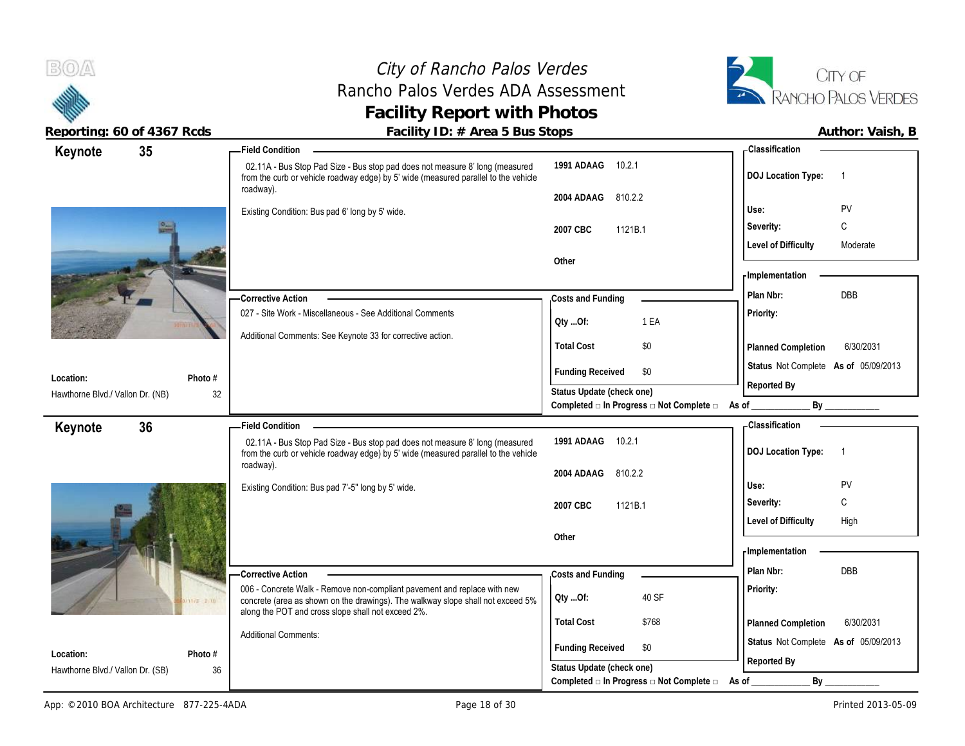Hawthorne Blvd./ Vallon Dr. (NB)

**Keynote**

 $B(0)$ 

**Location:**

**Keynote**

**35 Field Condition**

#### City of Rancho Palos Verdes Rancho Palos Verdes ADA Assessment **Facility Report with Photos**



Reporting: 60 of 4367 Rcds **Facility ID: # Area 5 Bus Stops Facility ID: # Area 5 Bus Stops Author: Vaish, B** 

| <b>Field Condition</b>                                                                                                                                              |                           |                                                                  | - Classification                     |            |
|---------------------------------------------------------------------------------------------------------------------------------------------------------------------|---------------------------|------------------------------------------------------------------|--------------------------------------|------------|
| 02.11A - Bus Stop Pad Size - Bus stop pad does not measure 8' long (measured<br>from the curb or vehicle roadway edge) by 5' wide (measured parallel to the vehicle | 1991 ADAAG                | 10.2.1                                                           | <b>DOJ Location Type:</b>            | 1          |
| roadway).                                                                                                                                                           | 2004 ADAAG                | 810.2.2                                                          | Use:                                 | PV         |
| Existing Condition: Bus pad 6' long by 5' wide.                                                                                                                     | 2007 CBC                  | 1121B.1                                                          | Severity:                            | C          |
|                                                                                                                                                                     | Other                     |                                                                  | <b>Level of Difficulty</b>           | Moderate   |
|                                                                                                                                                                     |                           |                                                                  | - Implementation                     |            |
| -Corrective Action                                                                                                                                                  | Costs and Funding         |                                                                  | Plan Nbr:                            | <b>DBB</b> |
| 027 - Site Work - Miscellaneous - See Additional Comments                                                                                                           | Qty Of:                   | 1 EA                                                             | <b>Priority:</b>                     |            |
| Additional Comments: See Keynote 33 for corrective action.                                                                                                          | <b>Total Cost</b>         | \$0                                                              | Planned Completion                   | 6/30/2031  |
| #                                                                                                                                                                   | <b>Funding Received</b>   | \$0                                                              | Status Not Complete As of 05/09/2013 |            |
| 32                                                                                                                                                                  | Status Update (check one) | Completed $\square$ In Progress $\square$ Not Complete $\square$ | Reported By<br>By<br>As of           |            |
| <b>Field Condition</b>                                                                                                                                              |                           |                                                                  | - Classification                     |            |
| 02.11A - Bus Stop Pad Size - Bus stop pad does not measure 8' long (measured<br>from the curb or vehicle roadway edge) by 5' wide (measured parallel to the vehicle | 1991 ADAAG                | 10.2.1                                                           | <b>DOJ</b> Location Type:            | 1          |
| roadway).<br>Existing Condition: Bus pad 7'-5" long by 5' wide.                                                                                                     | 2004 ADAAG                | 810.2.2                                                          | Use:                                 | PV         |
|                                                                                                                                                                     | 2007 CBC                  | 1121B.1                                                          | Severity:                            | C          |

**Other**

roadway). Existing Condition **Photo # Location:** Hawthorne Blvd./ Vallon Dr. (SB)

**Photo #**

**36 Field Condition**

006 - Concrete Walk - Remove non-compliant pavement and replace with new concrete (area as shown on the drawings). The walkway slope shall not exceed 5% along the POT and cross slope shall not exceed 2%. Additional Comments: **Corrective Action**  36 **Total Cost** \$768 **Costs and Funding Plan Nbr:** DBB **Funding Received \$0 Status Update (check one)** Completed **□ In Progress □ Not Complete □** As of \_\_\_\_\_\_\_\_\_\_\_\_\_\_\_\_\_\_\_\_\_\_\_\_\_\_\_\_\_\_\_\_ **Qty ...Of:** 40 SF

**Status** Not Complete **As of** 05/09/2013

**Planned Completion** 6/30/2031

Level of Difficulty High

**Priority:**

**Reported By**

**Implementation**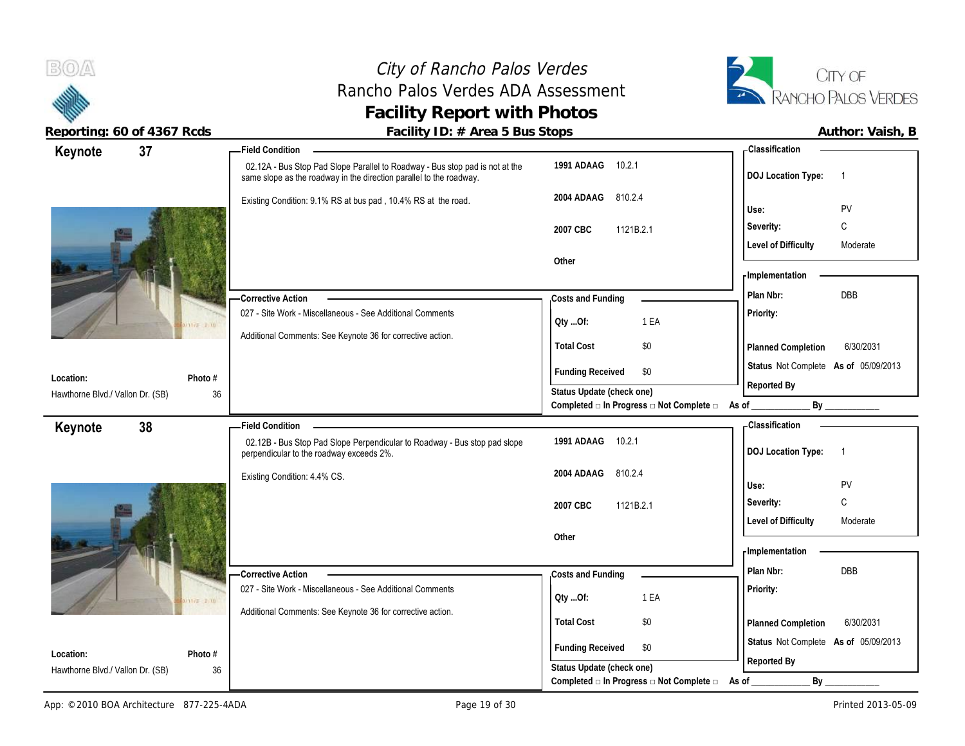

| Reporting: 60 of 4367 Rcds       | Facility ID: # Area 5 Bus Stops                                                                                                                     |                                                                        |                                         | Author: Vaish, B |
|----------------------------------|-----------------------------------------------------------------------------------------------------------------------------------------------------|------------------------------------------------------------------------|-----------------------------------------|------------------|
| 37<br>Keynote                    | <b>Field Condition</b>                                                                                                                              |                                                                        | - Classification                        |                  |
|                                  | 02.12A - Bus Stop Pad Slope Parallel to Roadway - Bus stop pad is not at the<br>same slope as the roadway in the direction parallel to the roadway. | 1991 ADAAG 10.2.1                                                      | DOJ Location Type: 1                    |                  |
|                                  | Existing Condition: 9.1% RS at bus pad, 10.4% RS at the road.                                                                                       | 2004 ADAAG 810.2.4                                                     | Use:                                    | PV               |
|                                  |                                                                                                                                                     | 2007 CBC<br>1121B.2.1                                                  | Severity:                               | $\mathsf{C}$     |
|                                  |                                                                                                                                                     |                                                                        | <b>Level of Difficulty</b>              | Moderate         |
|                                  |                                                                                                                                                     | Other                                                                  | Implementation                          |                  |
|                                  | -Corrective Action                                                                                                                                  | Costs and Funding                                                      | Plan Nbr:                               | DBB              |
|                                  | 027 - Site Work - Miscellaneous - See Additional Comments                                                                                           | 1 EA<br>Oty Of:                                                        | Priority:                               |                  |
|                                  | Additional Comments: See Keynote 36 for corrective action.                                                                                          |                                                                        |                                         |                  |
|                                  |                                                                                                                                                     | \$0<br><b>Total Cost</b>                                               | Planned Completion                      | 6/30/2031        |
| Location:<br>Photo #             |                                                                                                                                                     | <b>Funding Received</b><br>\$0                                         | Status Not Complete As of 05/09/2013    |                  |
| Hawthorne Blvd./ Vallon Dr. (SB) | 36                                                                                                                                                  | Status Update (check one)                                              | Reported By                             |                  |
|                                  |                                                                                                                                                     | Completed $\Box$ In Progress $\Box$ Not Complete $\Box$ As of _        |                                         | By               |
| 38<br>Keynote                    | <b>Field Condition</b>                                                                                                                              |                                                                        | -Classification                         |                  |
|                                  | 02.12B - Bus Stop Pad Slope Perpendicular to Roadway - Bus stop pad slope<br>perpendicular to the roadway exceeds 2%.                               | 1991 ADAAG<br>10.2.1                                                   | DOJ Location Type: 1                    |                  |
|                                  | Existing Condition: 4.4% CS.                                                                                                                        | 2004 ADAAG<br>810.2.4                                                  |                                         |                  |
|                                  |                                                                                                                                                     |                                                                        | Use:                                    | PV               |
|                                  |                                                                                                                                                     | 2007 CBC<br>1121B.2.1                                                  | Severity:<br><b>Level of Difficulty</b> | C<br>Moderate    |
|                                  |                                                                                                                                                     | Other                                                                  |                                         |                  |
|                                  |                                                                                                                                                     |                                                                        | Implementation                          |                  |
|                                  | <b>Corrective Action</b>                                                                                                                            | Costs and Funding                                                      | Plan Nbr:                               | DBB              |
|                                  | 027 - Site Work - Miscellaneous - See Additional Comments                                                                                           |                                                                        | <b>Priority:</b>                        |                  |
|                                  | Additional Comments: See Keynote 36 for corrective action.                                                                                          | 1 EA<br>QtyOf:                                                         |                                         |                  |
|                                  |                                                                                                                                                     | \$0<br><b>Total Cost</b>                                               | Planned Completion                      | 6/30/2031        |
| Location:<br>Photo #             |                                                                                                                                                     | <b>Funding Received</b><br>\$0                                         | Status Not Complete As of 05/09/2013    |                  |
| Hawthorne Blvd./ Vallon Dr. (SB) | 36                                                                                                                                                  | Status Update (check one)                                              | Reported By                             |                  |
|                                  |                                                                                                                                                     | Completed $\square$ In Progress $\square$ Not Complete $\square$ As of | By                                      |                  |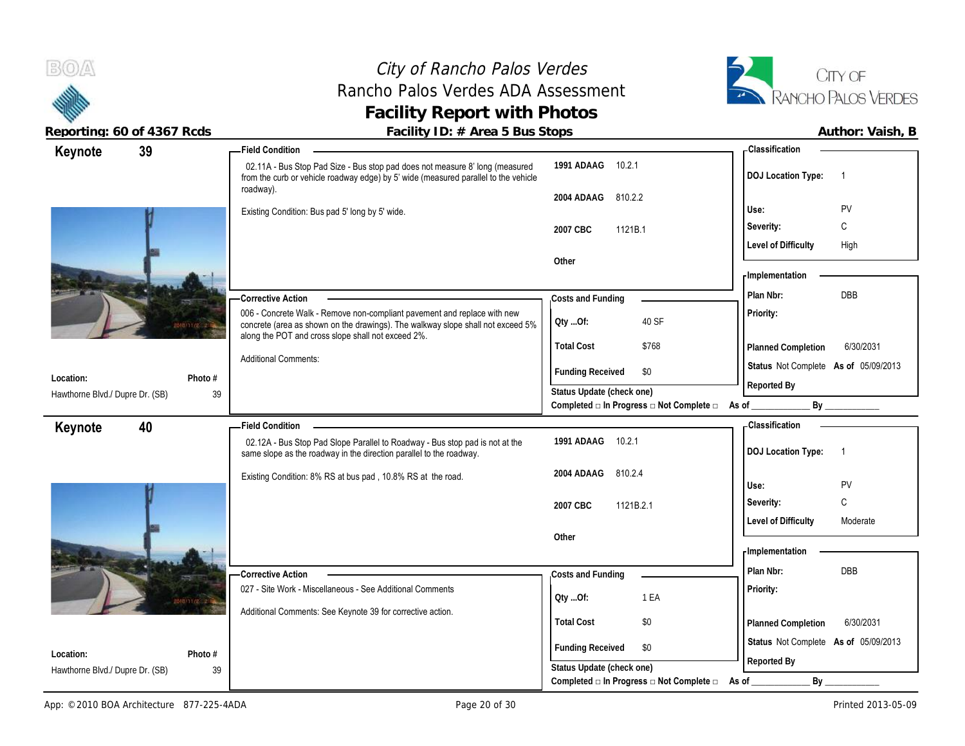#### City of Rancho Palos Verdes Rancho Palos Verdes ADA Assessment **Facility Report with Photos**



|                | Author: Vaish |  |
|----------------|---------------|--|
| Classification |               |  |
|                |               |  |
| .              |               |  |

| 39<br>Keynote                                                 | <b>Field Condition</b>                                                                                                                                                                                            |                                                                               | - Classification                            |
|---------------------------------------------------------------|-------------------------------------------------------------------------------------------------------------------------------------------------------------------------------------------------------------------|-------------------------------------------------------------------------------|---------------------------------------------|
|                                                               | 02.11A - Bus Stop Pad Size - Bus stop pad does not measure 8' long (measured<br>from the curb or vehicle roadway edge) by 5' wide (measured parallel to the vehicle                                               | 1991 ADAAG<br>10.2.1                                                          | <b>DOJ</b> Location Type:<br>- 1            |
|                                                               | roadway).                                                                                                                                                                                                         | 810.2.2<br>2004 ADAAG                                                         |                                             |
|                                                               | Existing Condition: Bus pad 5' long by 5' wide.                                                                                                                                                                   |                                                                               | Use:<br>PV                                  |
|                                                               |                                                                                                                                                                                                                   | 2007 CBC<br>1121B.1                                                           | $\mathsf{C}$<br>Severity:                   |
|                                                               |                                                                                                                                                                                                                   |                                                                               | High<br><b>Level of Difficulty</b>          |
|                                                               |                                                                                                                                                                                                                   | Other                                                                         |                                             |
|                                                               |                                                                                                                                                                                                                   |                                                                               | - Implementation                            |
|                                                               | - Corrective Action                                                                                                                                                                                               | Costs and Funding                                                             | DBB<br>Plan Nbr:                            |
|                                                               | 006 - Concrete Walk - Remove non-compliant pavement and replace with new<br>concrete (area as shown on the drawings). The walkway slope shall not exceed 5%<br>along the POT and cross slope shall not exceed 2%. | 40 SF<br>Oty Of:                                                              | Priority:                                   |
|                                                               |                                                                                                                                                                                                                   | <b>Total Cost</b><br>\$768                                                    | 6/30/2031<br>Planned Completion             |
|                                                               | <b>Additional Comments:</b>                                                                                                                                                                                       | \$0<br><b>Funding Received</b>                                                | Status Not Complete As of 05/09/2013        |
| Location:<br>Photo #                                          |                                                                                                                                                                                                                   |                                                                               | Reported By                                 |
| Hawthorne Blvd./ Dupre Dr. (SB)<br>39                         |                                                                                                                                                                                                                   | Status Update (check one)<br>Completed □ In Progress □ Not Complete □ As of _ | By                                          |
|                                                               | <b>Field Condition</b>                                                                                                                                                                                            |                                                                               | <b>Classification</b>                       |
| 40<br>Keynote                                                 | 02.12A - Bus Stop Pad Slope Parallel to Roadway - Bus stop pad is not at the                                                                                                                                      | 1991 ADAAG<br>10.2.1                                                          |                                             |
|                                                               | same slope as the roadway in the direction parallel to the roadway.                                                                                                                                               |                                                                               | <b>DOJ Location Type:</b><br>$\overline{1}$ |
|                                                               | Existing Condition: 8% RS at bus pad, 10.8% RS at the road.                                                                                                                                                       | 810.2.4<br>2004 ADAAG                                                         |                                             |
|                                                               |                                                                                                                                                                                                                   |                                                                               | PV<br>Use:                                  |
|                                                               |                                                                                                                                                                                                                   | 2007 CBC<br>1121B.2.1                                                         | $\mathsf{C}$<br>Severity:                   |
|                                                               |                                                                                                                                                                                                                   |                                                                               | <b>Level of Difficulty</b><br>Moderate      |
|                                                               |                                                                                                                                                                                                                   | Other                                                                         |                                             |
|                                                               |                                                                                                                                                                                                                   |                                                                               | - Implementation                            |
|                                                               | -Corrective Action                                                                                                                                                                                                | Costs and Funding                                                             | DBB<br>Plan Nbr:                            |
|                                                               | 027 - Site Work - Miscellaneous - See Additional Comments                                                                                                                                                         | 1 EA<br>Oty Of:                                                               | Priority:                                   |
|                                                               | Additional Comments: See Keynote 39 for corrective action.                                                                                                                                                        |                                                                               |                                             |
|                                                               |                                                                                                                                                                                                                   | <b>Total Cost</b><br>\$0                                                      | 6/30/2031<br>Planned Completion             |
|                                                               |                                                                                                                                                                                                                   | <b>Funding Received</b><br>\$0                                                | Status Not Complete As of 05/09/2013        |
| Location:<br>Photo #<br>Hawthorne Blvd./ Dupre Dr. (SB)<br>39 |                                                                                                                                                                                                                   | Status Update (check one)                                                     | Reported By                                 |
|                                                               |                                                                                                                                                                                                                   | Completed □ In Progress □ Not Complete □                                      | $By_$<br>As of                              |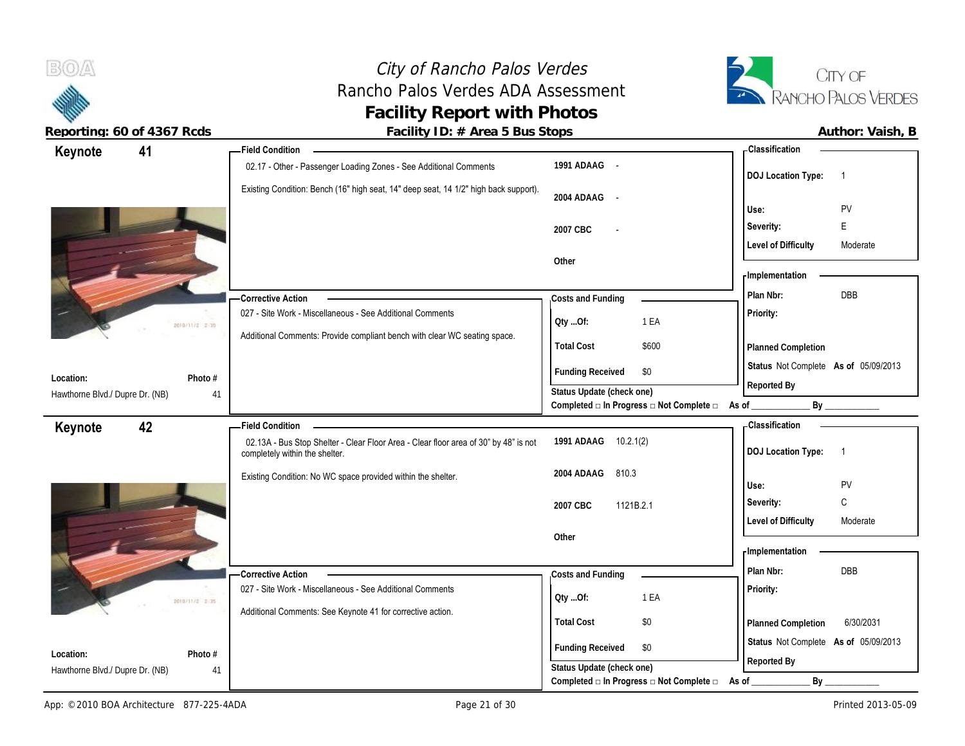## City of Rancho Palos Verdes Rancho Palos Verdes ADA Assessment **Facility of Rancho Palos Verdes**<br> **Facility Report with Photos**<br> **Facility Report with Photos**



 $B(0)$ 

| 41<br>Keynote                   | - Field Condition                                                                                                      |                                                                                      | - Classification                            |
|---------------------------------|------------------------------------------------------------------------------------------------------------------------|--------------------------------------------------------------------------------------|---------------------------------------------|
|                                 | 02.17 - Other - Passenger Loading Zones - See Additional Comments                                                      | 1991 ADAAG -                                                                         | <b>DOJ Location Type:</b><br>$\overline{1}$ |
|                                 | Existing Condition: Bench (16" high seat, 14" deep seat, 14 1/2" high back support).                                   | 2004 ADAAG -                                                                         | PV<br>Use:                                  |
|                                 |                                                                                                                        | 2007 CBC                                                                             | E<br>Severity:                              |
|                                 |                                                                                                                        |                                                                                      | <b>Level of Difficulty</b><br>Moderate      |
|                                 |                                                                                                                        | Other                                                                                |                                             |
|                                 |                                                                                                                        |                                                                                      | - Implementation                            |
|                                 | <b>Corrective Action</b>                                                                                               | Costs and Funding                                                                    | DBB<br>Plan Nbr:                            |
| 2010/11/2 2-35                  | 027 - Site Work - Miscellaneous - See Additional Comments                                                              | 1 EA<br>Qty Of:                                                                      | Priority:                                   |
|                                 | Additional Comments: Provide compliant bench with clear WC seating space.                                              | <b>Total Cost</b><br>\$600                                                           | <b>Planned Completion</b>                   |
| Location:<br>Photo #            |                                                                                                                        | <b>Funding Received</b><br>\$0                                                       | Status Not Complete As of 05/09/2013        |
| Hawthorne Blvd./ Dupre Dr. (NB) | 41                                                                                                                     | Status Update (check one)                                                            | Reported By                                 |
|                                 |                                                                                                                        | Completed □ In Progress □ Not Complete □ As of                                       | By                                          |
| 42<br>Keynote                   | <b>Field Condition</b>                                                                                                 | 1991 ADAAG 10.2.1(2)                                                                 | <b>Classification</b>                       |
|                                 | 02.13A - Bus Stop Shelter - Clear Floor Area - Clear floor area of 30" by 48" is not<br>completely within the shelter. |                                                                                      | <b>DOJ Location Type:</b><br>$\overline{1}$ |
|                                 | Existing Condition: No WC space provided within the shelter.                                                           | 810.3<br>2004 ADAAG                                                                  |                                             |
|                                 |                                                                                                                        |                                                                                      |                                             |
|                                 |                                                                                                                        |                                                                                      | PV<br>Use:                                  |
|                                 |                                                                                                                        | 2007 CBC<br>1121B.2.1                                                                | $\mathbb C$<br>Severity:                    |
|                                 |                                                                                                                        | Other                                                                                | <b>Level of Difficulty</b><br>Moderate      |
|                                 |                                                                                                                        |                                                                                      | - Implementation                            |
|                                 | <b>Corrective Action</b>                                                                                               | Costs and Funding                                                                    | Plan Nbr:<br><b>DBB</b>                     |
|                                 | 027 - Site Work - Miscellaneous - See Additional Comments                                                              |                                                                                      | Priority:                                   |
| 2010/11/2 I-15                  | Additional Comments: See Keynote 41 for corrective action.                                                             | 1 EA<br>Qty Of:                                                                      |                                             |
|                                 |                                                                                                                        | <b>Total Cost</b><br>\$0                                                             | 6/30/2031<br>Planned Completion             |
| Location:<br>Photo #            |                                                                                                                        | <b>Funding Received</b><br>\$0                                                       | Status Not Complete As of 05/09/2013        |
| Hawthorne Blvd./ Dupre Dr. (NB) | 41                                                                                                                     | Status Update (check one)<br>Completed $\Box$ In Progress $\Box$ Not Complete $\Box$ | Reported By<br>By<br>As of                  |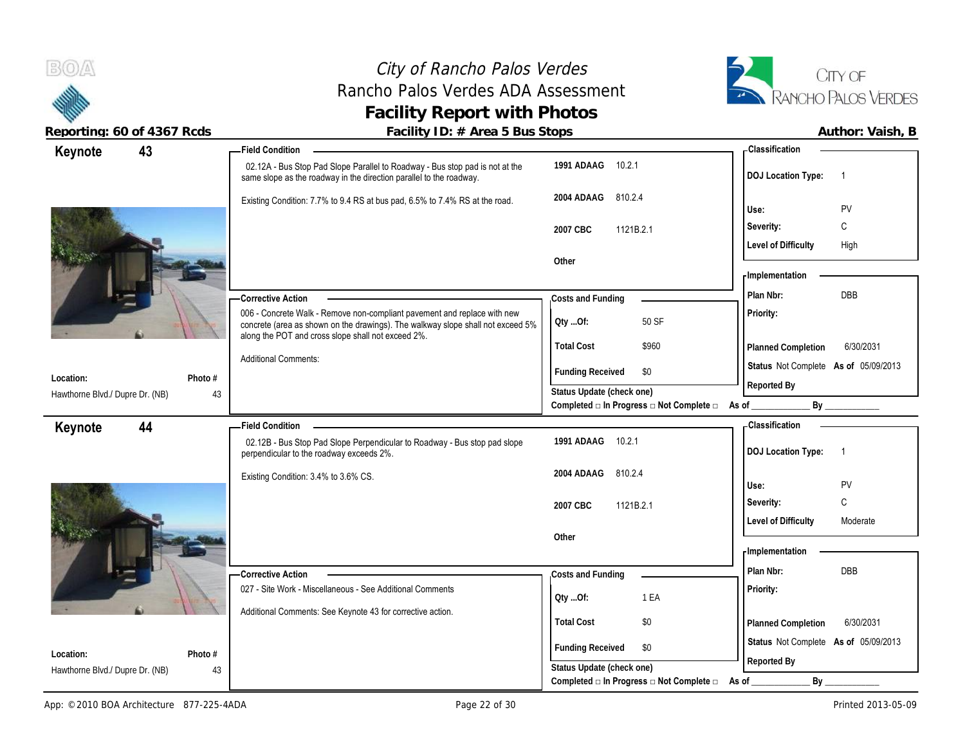



| reporting. Op or 4007 neas            | I dullty TD. $\pi$ Area J Dus Jtops                                                                                                                                                                               |                                                                                      | AULIIUI. VAISII, D                                    |
|---------------------------------------|-------------------------------------------------------------------------------------------------------------------------------------------------------------------------------------------------------------------|--------------------------------------------------------------------------------------|-------------------------------------------------------|
| 43<br>Keynote                         | <b>Field Condition –</b>                                                                                                                                                                                          |                                                                                      | - Classification                                      |
|                                       | 02.12A - Bus Stop Pad Slope Parallel to Roadway - Bus stop pad is not at the<br>same slope as the roadway in the direction parallel to the roadway.                                                               | 1991 ADAAG 10.2.1                                                                    | <b>DOJ Location Type:</b><br>$\overline{\phantom{1}}$ |
|                                       | Existing Condition: 7.7% to 9.4 RS at bus pad, 6.5% to 7.4% RS at the road.                                                                                                                                       | 810.2.4<br>2004 ADAAG                                                                |                                                       |
|                                       |                                                                                                                                                                                                                   |                                                                                      | PV<br>Use:                                            |
|                                       |                                                                                                                                                                                                                   | 2007 CBC<br>1121B.2.1                                                                | $\mathsf{C}$<br>Severity:                             |
|                                       |                                                                                                                                                                                                                   |                                                                                      | <b>Level of Difficulty</b><br>High                    |
|                                       |                                                                                                                                                                                                                   | Other                                                                                | <b>Implementation</b>                                 |
|                                       |                                                                                                                                                                                                                   |                                                                                      |                                                       |
|                                       | <b>Corrective Action</b>                                                                                                                                                                                          | Costs and Funding                                                                    | <b>DBB</b><br>Plan Nbr:                               |
|                                       | 006 - Concrete Walk - Remove non-compliant pavement and replace with new<br>concrete (area as shown on the drawings). The walkway slope shall not exceed 5%<br>along the POT and cross slope shall not exceed 2%. | 50 SF<br>QtyOf:                                                                      | Priority:                                             |
|                                       |                                                                                                                                                                                                                   | <b>Total Cost</b><br>\$960                                                           | 6/30/2031<br>Planned Completion                       |
| Photo #<br>Location:                  | <b>Additional Comments:</b>                                                                                                                                                                                       | <b>Funding Received</b><br>\$0                                                       | Status Not Complete As of 05/09/2013                  |
| Hawthorne Blvd./ Dupre Dr. (NB)<br>43 |                                                                                                                                                                                                                   | Status Update (check one)                                                            | Reported By                                           |
|                                       |                                                                                                                                                                                                                   | Completed a In Progress a Not Complete a As of ________                              | By                                                    |
| Keynote<br>44                         | <b>Field Condition</b>                                                                                                                                                                                            |                                                                                      | - Classification                                      |
|                                       | 02.12B - Bus Stop Pad Slope Perpendicular to Roadway - Bus stop pad slope<br>perpendicular to the roadway exceeds 2%.                                                                                             | 1991 ADAAG 10.2.1                                                                    | <b>DOJ Location Type:</b><br>$\overline{1}$           |
|                                       | Existing Condition: 3.4% to 3.6% CS.                                                                                                                                                                              | 810.2.4<br>2004 ADAAG                                                                |                                                       |
|                                       |                                                                                                                                                                                                                   |                                                                                      | PV<br>Use:                                            |
|                                       |                                                                                                                                                                                                                   | 1121B.2.1<br>2007 CBC                                                                | C<br>Severity:                                        |
|                                       |                                                                                                                                                                                                                   |                                                                                      | <b>Level of Difficulty</b><br>Moderate                |
|                                       |                                                                                                                                                                                                                   | Other                                                                                | - Implementation                                      |
|                                       |                                                                                                                                                                                                                   |                                                                                      |                                                       |
|                                       | Corrective Action                                                                                                                                                                                                 | Costs and Funding                                                                    | DBB<br>Plan Nbr:                                      |
|                                       | 027 - Site Work - Miscellaneous - See Additional Comments                                                                                                                                                         | 1 EA<br>QtyOf:                                                                       | Priority:                                             |
|                                       | Additional Comments: See Keynote 43 for corrective action.                                                                                                                                                        | <b>Total Cost</b><br>\$0                                                             | 6/30/2031                                             |
|                                       |                                                                                                                                                                                                                   |                                                                                      | Planned Completion                                    |
| Location:<br>Photo #                  |                                                                                                                                                                                                                   | <b>Funding Received</b><br>\$0                                                       | Status Not Complete As of 05/09/2013                  |
|                                       |                                                                                                                                                                                                                   |                                                                                      | Reported By                                           |
| Hawthorne Blvd./ Dupre Dr. (NB)<br>43 |                                                                                                                                                                                                                   | Status Update (check one)<br>Completed $\Box$ In Progress $\Box$ Not Complete $\Box$ | $By$ <sub>___</sub>                                   |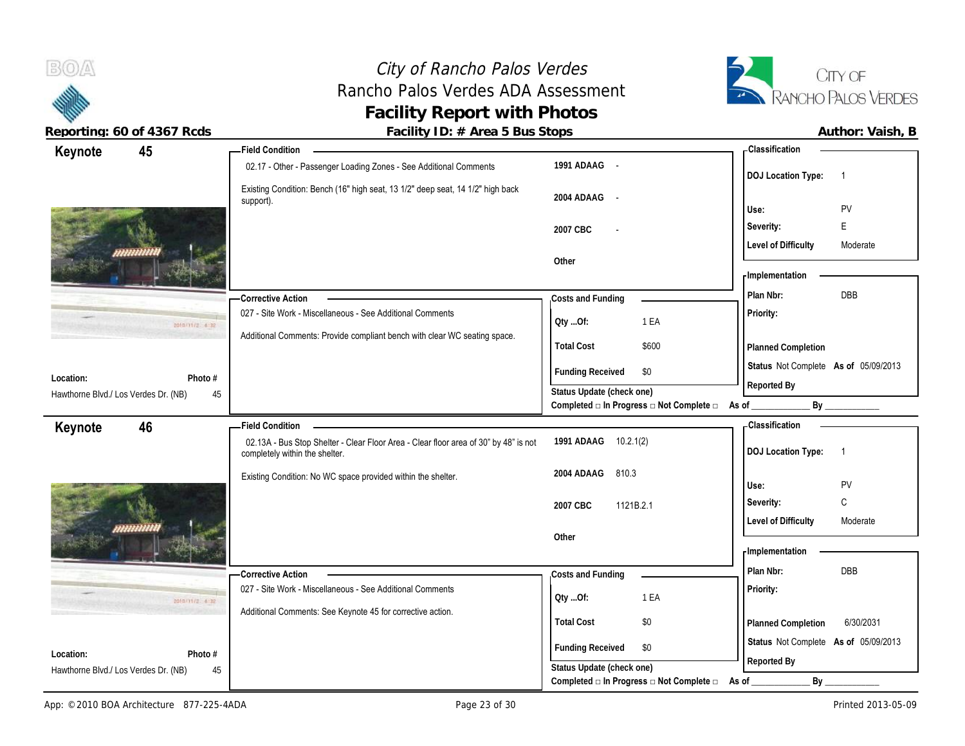# City of Rancho Palos Verdes Rancho Palos Verdes ADA Assessment **Facility Report with Photos**



**Reporting: 60 of 4367 Rcds Facility ID: # Area 5 Bus Stops** 

| Author: Vaish, B |  |
|------------------|--|
|                  |  |

| Keynote                                           | 45             | <b>Field Condition</b>                                                                                                 |                                          | <b>Classification</b>                               |
|---------------------------------------------------|----------------|------------------------------------------------------------------------------------------------------------------------|------------------------------------------|-----------------------------------------------------|
|                                                   |                | 02.17 - Other - Passenger Loading Zones - See Additional Comments                                                      | 1991 ADAAG -                             | <b>DOJ Location Type:</b><br>$\overline{1}$         |
|                                                   |                | Existing Condition: Bench (16" high seat, 13 1/2" deep seat, 14 1/2" high back<br>support).                            | 2004 ADAAG -                             | Use:<br>PV                                          |
|                                                   |                |                                                                                                                        |                                          | E<br>Severity:                                      |
|                                                   |                |                                                                                                                        | 2007 CBC                                 | <b>Level of Difficulty</b><br>Moderate              |
|                                                   |                |                                                                                                                        | Other                                    |                                                     |
|                                                   |                |                                                                                                                        |                                          | - Implementation                                    |
|                                                   |                | -Corrective Action                                                                                                     | Costs and Funding                        | DBB<br>Plan Nbr:                                    |
|                                                   | 2010/11/2 4:32 | 027 - Site Work - Miscellaneous - See Additional Comments                                                              | Qty Of:<br>1 EA                          | Priority:                                           |
|                                                   |                | Additional Comments: Provide compliant bench with clear WC seating space.                                              | <b>Total Cost</b><br>\$600               | Planned Completion                                  |
|                                                   |                |                                                                                                                        | <b>Funding Received</b><br>\$0           | Status Not Complete As of 05/09/2013                |
| Location:<br>Hawthorne Blvd./ Los Verdes Dr. (NB) | Photo #<br>45  |                                                                                                                        | Status Update (check one)                | Reported By                                         |
|                                                   |                |                                                                                                                        | Completed □ In Progress □ Not Complete □ | As of _                                             |
| Keynote                                           | 46             | <b>Field Condition</b>                                                                                                 |                                          | - Classification                                    |
|                                                   |                | 02.13A - Bus Stop Shelter - Clear Floor Area - Clear floor area of 30" by 48" is not<br>completely within the shelter. | 1991 ADAAG 10.2.1(2)                     | <b>DOJ Location Type:</b><br>$\overline{1}$         |
|                                                   |                | Existing Condition: No WC space provided within the shelter.                                                           | 2004 ADAAG 810.3                         | Use:<br>PV                                          |
|                                                   |                |                                                                                                                        | 2007 CBC<br>1121B.2.1                    | C<br>Severity:                                      |
|                                                   |                |                                                                                                                        |                                          | <b>Level of Difficulty</b><br>Moderate              |
|                                                   |                |                                                                                                                        | Other                                    |                                                     |
|                                                   |                |                                                                                                                        |                                          | - Implementation                                    |
|                                                   |                | - Corrective Action                                                                                                    | Costs and Funding                        | DBB<br>Plan Nbr:                                    |
|                                                   | 2010/11/2 4:32 | 027 - Site Work - Miscellaneous - See Additional Comments                                                              | 1 EA<br>QtyOf:                           | Priority:                                           |
|                                                   |                | Additional Comments: See Keynote 45 for corrective action.                                                             |                                          |                                                     |
|                                                   |                |                                                                                                                        | <b>Total Cost</b><br>\$0                 | 6/30/2031<br>Planned Completion                     |
| Location:                                         | Photo #        |                                                                                                                        | <b>Funding Received</b><br>\$0           | Status Not Complete As of 05/09/2013<br>Reported By |
| Hawthorne Blvd./ Los Verdes Dr. (NB)              | 45             |                                                                                                                        | Status Update (check one)                |                                                     |
|                                                   |                |                                                                                                                        | Completed □ In Progress □ Not Complete □ | By<br>As of _                                       |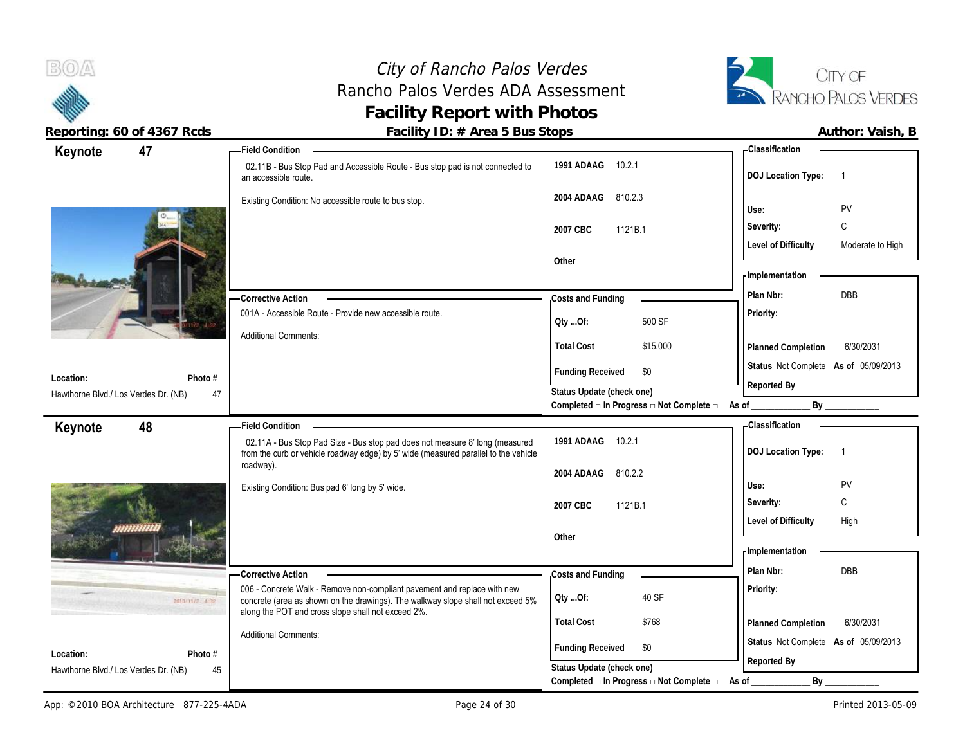$B(0)$ City of Rancho Palos Verdes Rancho Palos Verdes ADA Assessment **Facility Report with Photos** Reporting: 60 of 4367 Rcds **Facility ID: # Area 5 Bus Stops Facility ID: # Area 5 Bus Stops Author: Vaish, B Keynote 47 Field Condition Classification 1991 ADAAG** 10.2.1 02.11B - Bus Stop Pad and Accessible Route - Bus stop pad is not connected to **DOJ Location Type:** 1 an accessible route. **2004 ADAAG** 810.2.3 Existing Condition: No accessible route to bus stop. **Use:** PV **Severity:** C **2007 CBC** 1121B.1 **Level of Difficulty** Moderate to High **Other Implementation**

001A - Accessible Route - Provide new accessible route.

Additional Comments:

**Corrective Action** 

| Photo #<br>Location:                                               |                                                                                                                                                                     | <b>Funding Received</b><br>— ⊅U                                                      |                                        |
|--------------------------------------------------------------------|---------------------------------------------------------------------------------------------------------------------------------------------------------------------|--------------------------------------------------------------------------------------|----------------------------------------|
| 47<br>Hawthorne Blvd./ Los Verdes Dr. (NB)                         |                                                                                                                                                                     | Status Update (check one)<br>Completed $\Box$ In Progress $\Box$ Not Complete $\Box$ | Reported By<br>By<br>As of             |
| 48<br>Keynote                                                      | -Field Condition                                                                                                                                                    |                                                                                      | - Classification                       |
|                                                                    | 02.11A - Bus Stop Pad Size - Bus stop pad does not measure 8' long (measured<br>from the curb or vehicle roadway edge) by 5' wide (measured parallel to the vehicle | 1991 ADAAG<br>10.2.1                                                                 | <b>DOJ Location Type:</b>              |
|                                                                    | roadway).                                                                                                                                                           | 2004 ADAAG<br>810.2.2                                                                |                                        |
|                                                                    | Existing Condition: Bus pad 6' long by 5' wide.                                                                                                                     |                                                                                      | PV<br>Use:                             |
|                                                                    |                                                                                                                                                                     | 1121B.1<br>2007 CBC                                                                  | C<br>Severity:                         |
|                                                                    |                                                                                                                                                                     |                                                                                      | High<br><b>Level of Difficulty</b>     |
|                                                                    |                                                                                                                                                                     | Other                                                                                | - Implementation                       |
|                                                                    | <b>-Corrective Action</b>                                                                                                                                           | Costs and Funding                                                                    | <b>DBB</b><br>Plan Nbr:                |
| 2010/11/2 4:32                                                     | 006 - Concrete Walk - Remove non-compliant pavement and replace with new<br>concrete (area as shown on the drawings). The walkway slope shall not exceed 5%         | 40 SF<br>Qty Of:                                                                     | Priority:                              |
|                                                                    | along the POT and cross slope shall not exceed 2%.                                                                                                                  | \$768<br><b>Total Cost</b>                                                           | 6/30/2031<br><b>Planned Completion</b> |
|                                                                    | <b>Additional Comments:</b>                                                                                                                                         | <b>Funding Received</b><br>\$0                                                       | Status Not Complete As of 05/09/2013   |
| Location:<br>Photo #<br>Hawthorne Blvd./ Los Verdes Dr. (NB)<br>45 |                                                                                                                                                                     | Status Update (check one)                                                            | Reported By                            |
|                                                                    |                                                                                                                                                                     | Completed $\square$ In Progress $\square$ Not Complete $\square$                     | By<br>As of                            |



**Status** Not Complete **As of** 05/09/2013

**Planned Completion** 6/30/2031

**Priority:**

**Costs and Funding Plan Nbr:** DBB

**Total Cost** \$15,000

**Qty ...Of:** 500 SF

**Funding Received \$0**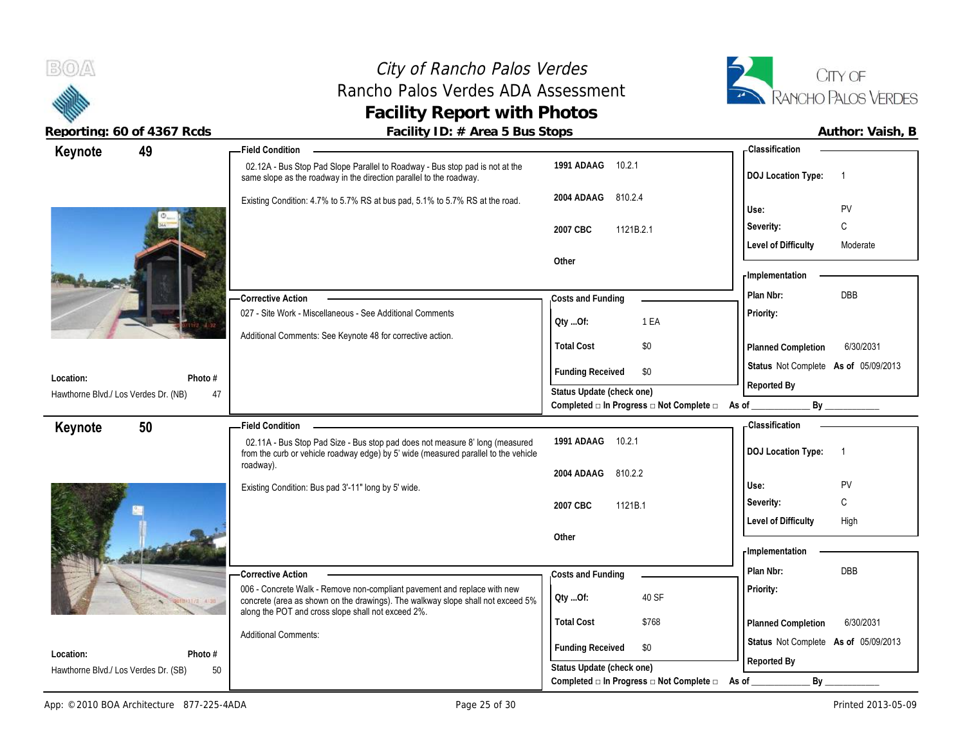

| <b>Classification</b><br><b>Field Condition</b><br>49<br>Keynote<br>1991 ADAAG 10.2.1<br>02.12A - Bus Stop Pad Slope Parallel to Roadway - Bus stop pad is not at the<br>DOJ Location Type: 1<br>same slope as the roadway in the direction parallel to the roadway.<br>2004 ADAAG 810.2.4<br>Existing Condition: 4.7% to 5.7% RS at bus pad, 5.1% to 5.7% RS at the road.<br>PV<br>Use: |  |
|------------------------------------------------------------------------------------------------------------------------------------------------------------------------------------------------------------------------------------------------------------------------------------------------------------------------------------------------------------------------------------------|--|
|                                                                                                                                                                                                                                                                                                                                                                                          |  |
|                                                                                                                                                                                                                                                                                                                                                                                          |  |
|                                                                                                                                                                                                                                                                                                                                                                                          |  |
| C<br>Severity:<br>1121B.2.1<br>2007 CBC                                                                                                                                                                                                                                                                                                                                                  |  |
| <b>Level of Difficulty</b><br>Moderate                                                                                                                                                                                                                                                                                                                                                   |  |
| Other<br>Implementation                                                                                                                                                                                                                                                                                                                                                                  |  |
| <b>DBB</b><br>Plan Nbr:<br>-Corrective Action<br>Costs and Funding                                                                                                                                                                                                                                                                                                                       |  |
| 027 - Site Work - Miscellaneous - See Additional Comments<br>Priority:<br>1 EA<br>Qty Of:                                                                                                                                                                                                                                                                                                |  |
| Additional Comments: See Keynote 48 for corrective action.<br>\$0<br><b>Total Cost</b><br>6/30/2031<br>Planned Completion                                                                                                                                                                                                                                                                |  |
| Status Not Complete As of 05/09/2013<br><b>Funding Received</b><br>\$0                                                                                                                                                                                                                                                                                                                   |  |
| Location:<br>Photo #<br>Reported By                                                                                                                                                                                                                                                                                                                                                      |  |
| Status Update (check one)<br>Hawthorne Blvd./ Los Verdes Dr. (NB)<br>47<br>Completed □ In Progress □ Not Complete □ As of                                                                                                                                                                                                                                                                |  |
| <b>Classification</b><br>50<br><b>Field Condition</b><br>Keynote                                                                                                                                                                                                                                                                                                                         |  |
| 1991 ADAAG 10.2.1<br>02.11A - Bus Stop Pad Size - Bus stop pad does not measure 8' long (measured<br>DOJ Location Type: 1<br>from the curb or vehicle roadway edge) by 5' wide (measured parallel to the vehicle                                                                                                                                                                         |  |
| roadway).<br>2004 ADAAG 810.2.2                                                                                                                                                                                                                                                                                                                                                          |  |
| PV<br>Use:<br>Existing Condition: Bus pad 3'-11" long by 5' wide.                                                                                                                                                                                                                                                                                                                        |  |
| C<br>Severity:<br>2007 CBC<br>1121B.1                                                                                                                                                                                                                                                                                                                                                    |  |
| <b>Level of Difficulty</b><br>High                                                                                                                                                                                                                                                                                                                                                       |  |
| Other<br>Implementation                                                                                                                                                                                                                                                                                                                                                                  |  |
| DBB<br>Plan Nbr:                                                                                                                                                                                                                                                                                                                                                                         |  |
|                                                                                                                                                                                                                                                                                                                                                                                          |  |
| - Corrective Action<br>Costs and Funding                                                                                                                                                                                                                                                                                                                                                 |  |
| 006 - Concrete Walk - Remove non-compliant pavement and replace with new<br><b>Priority:</b><br>40 SF<br>QtyOf:<br>concrete (area as shown on the drawings). The walkway slope shall not exceed 5%                                                                                                                                                                                       |  |
| along the POT and cross slope shall not exceed 2%.<br><b>Total Cost</b><br>\$768<br>6/30/2031<br>Planned Completion                                                                                                                                                                                                                                                                      |  |
| <b>Additional Comments:</b><br>Status Not Complete As of 05/09/2013                                                                                                                                                                                                                                                                                                                      |  |
| <b>Funding Received</b><br>\$0<br>Location:<br>Photo #<br>Reported By<br>Status Update (check one)<br>50<br>Hawthorne Blvd./ Los Verdes Dr. (SB)                                                                                                                                                                                                                                         |  |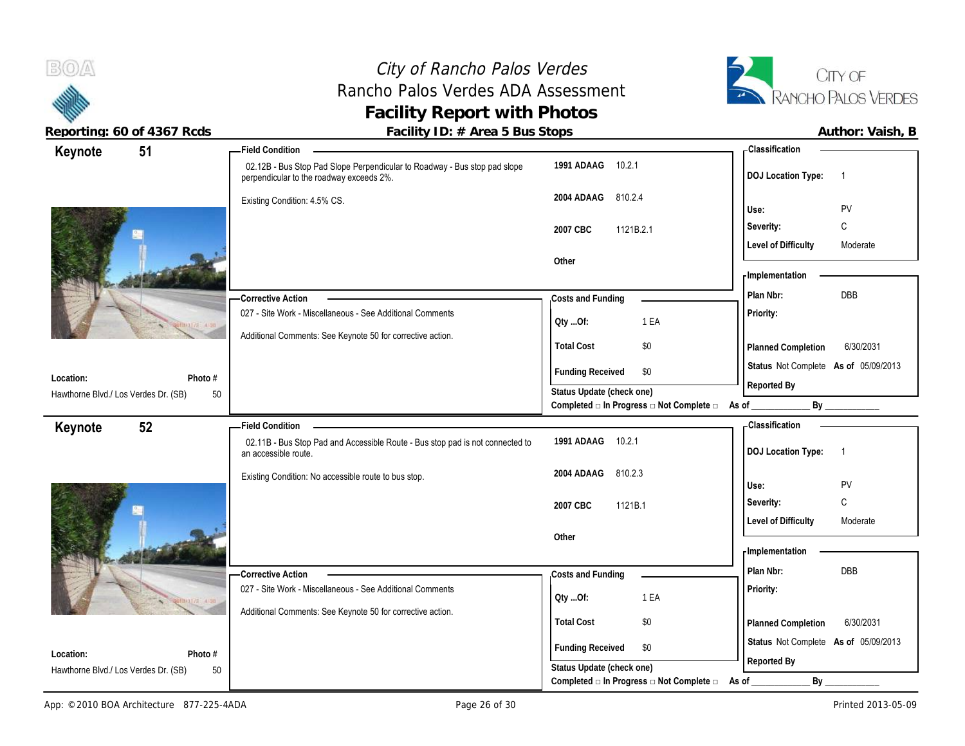## City of Rancho Palos Verdes Rancho Palos Verdes ADA Assessment **Facility Report with Photos**



| Author: Vaish, I |  |
|------------------|--|
|                  |  |

| Keynote                                           | 51            | <b>Field Condition</b>                                                                                                |                                                                 | - Classification                                                    |
|---------------------------------------------------|---------------|-----------------------------------------------------------------------------------------------------------------------|-----------------------------------------------------------------|---------------------------------------------------------------------|
|                                                   |               | 02.12B - Bus Stop Pad Slope Perpendicular to Roadway - Bus stop pad slope<br>perpendicular to the roadway exceeds 2%. | 1991 ADAAG<br>10.2.1                                            | <b>DOJ</b> Location Type:<br>$\overline{1}$                         |
|                                                   |               | Existing Condition: 4.5% CS.                                                                                          | 810.2.4<br>2004 ADAAG                                           | PV<br>Use:                                                          |
|                                                   |               |                                                                                                                       | 1121B.2.1<br>2007 CBC                                           | C<br>Severity:                                                      |
|                                                   |               |                                                                                                                       |                                                                 | <b>Level of Difficulty</b><br>Moderate                              |
|                                                   |               |                                                                                                                       | Other                                                           |                                                                     |
|                                                   |               |                                                                                                                       |                                                                 | - Implementation                                                    |
|                                                   |               | -Corrective Action                                                                                                    | Costs and Funding                                               | DBB<br>Plan Nbr:                                                    |
|                                                   |               | 027 - Site Work - Miscellaneous - See Additional Comments                                                             | 1 EA<br>Oty Of:                                                 | Priority:                                                           |
|                                                   |               | Additional Comments: See Keynote 50 for corrective action.                                                            | <b>Total Cost</b><br>\$0                                        | 6/30/2031<br>Planned Completion                                     |
|                                                   |               |                                                                                                                       | <b>Funding Received</b><br>\$0                                  | Status Not Complete As of 05/09/2013                                |
| Location:<br>Hawthorne Blvd./ Los Verdes Dr. (SB) | Photo #<br>50 |                                                                                                                       | Status Update (check one)                                       | Reported By                                                         |
|                                                   |               |                                                                                                                       | Completed $\Box$ In Progress $\Box$ Not Complete $\Box$ As of _ | By                                                                  |
| Keynote                                           | 52            | <b>Field Condition</b>                                                                                                |                                                                 | - Classification                                                    |
|                                                   |               |                                                                                                                       |                                                                 |                                                                     |
|                                                   |               | 02.11B - Bus Stop Pad and Accessible Route - Bus stop pad is not connected to<br>an accessible route.                 | 1991 ADAAG<br>10.2.1                                            | <b>DOJ Location Type:</b><br>$\overline{1}$                         |
|                                                   |               | Existing Condition: No accessible route to bus stop.                                                                  | 2004 ADAAG<br>810.2.3                                           |                                                                     |
|                                                   |               |                                                                                                                       |                                                                 | Use:<br>PV                                                          |
|                                                   |               |                                                                                                                       | 2007 CBC<br>1121B.1                                             | $\mathsf{C}$<br>Severity:<br><b>Level of Difficulty</b><br>Moderate |
|                                                   |               |                                                                                                                       | Other                                                           |                                                                     |
|                                                   |               |                                                                                                                       |                                                                 | - Implementation                                                    |
|                                                   |               | -Corrective Action                                                                                                    | Costs and Funding                                               | DBB<br>Plan Nbr:                                                    |
|                                                   |               | 027 - Site Work - Miscellaneous - See Additional Comments                                                             | 1 EA<br>QtyOf:                                                  | Priority:                                                           |
|                                                   |               | Additional Comments: See Keynote 50 for corrective action.                                                            | <b>Total Cost</b><br>\$0                                        |                                                                     |
|                                                   |               |                                                                                                                       |                                                                 | 6/30/2031<br>Planned Completion                                     |
| Location:<br>Hawthorne Blvd./ Los Verdes Dr. (SB) | Photo #<br>50 |                                                                                                                       | <b>Funding Received</b><br>\$0<br>Status Update (check one)     | Status Not Complete As of 05/09/2013<br>Reported By                 |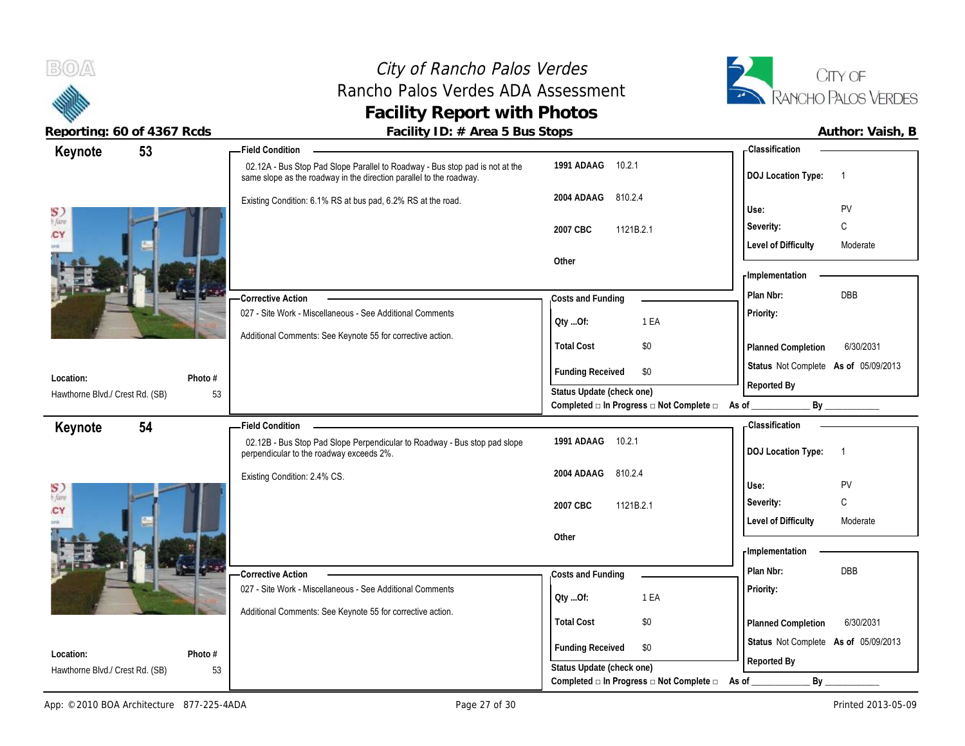## City of Rancho Palos Verdes City of Rancho Palos Verdes<br>
Rancho Palos Verdes ADA Assessment<br>
Tancho Palos Verdes ADA Assessment<br>
Tancho Palos Verdes **Facility Report with Photos**



|                                 |         | radinty TD: // Typed 5 Das Stops                                                                                                                    |                                                                                     |                                             |
|---------------------------------|---------|-----------------------------------------------------------------------------------------------------------------------------------------------------|-------------------------------------------------------------------------------------|---------------------------------------------|
| Keynote                         | 53      | Field Condition –                                                                                                                                   |                                                                                     | - Classification                            |
|                                 |         | 02.12A - Bus Stop Pad Slope Parallel to Roadway - Bus stop pad is not at the<br>same slope as the roadway in the direction parallel to the roadway. | 1991 ADAAG 10.2.1                                                                   | <b>DOJ</b> Location Type:<br>$\overline{1}$ |
|                                 |         | Existing Condition: 6.1% RS at bus pad, 6.2% RS at the road.                                                                                        | 2004 ADAAG<br>810.2.4                                                               |                                             |
| S)<br>b fare                    |         |                                                                                                                                                     |                                                                                     | PV<br>Use:                                  |
| CY                              |         |                                                                                                                                                     | 2007 CBC<br>1121B.2.1                                                               | $\mathsf{C}$<br>Severity:                   |
| imk                             |         |                                                                                                                                                     |                                                                                     | <b>Level of Difficulty</b><br>Moderate      |
|                                 |         |                                                                                                                                                     | Other                                                                               | - Implementation                            |
|                                 |         |                                                                                                                                                     |                                                                                     |                                             |
|                                 |         | <b>Corrective Action</b>                                                                                                                            | Costs and Funding                                                                   | DBB<br>Plan Nbr:                            |
|                                 |         | 027 - Site Work - Miscellaneous - See Additional Comments                                                                                           | QtyOf:<br>1 EA                                                                      | Priority:                                   |
|                                 |         | Additional Comments: See Keynote 55 for corrective action.                                                                                          | <b>Total Cost</b><br>\$0                                                            |                                             |
|                                 |         |                                                                                                                                                     |                                                                                     | Planned Completion<br>6/30/2031             |
| Location:                       | Photo # |                                                                                                                                                     | <b>Funding Received</b><br>\$0                                                      | Status Not Complete As of 05/09/2013        |
| Hawthorne Blvd./ Crest Rd. (SB) | 53      |                                                                                                                                                     | Status Update (check one)                                                           | Reported By                                 |
|                                 |         |                                                                                                                                                     | Completed □ In Progress □ Not Complete □ As of ________                             | By                                          |
| Keynote                         | 54      | <b>Field Condition</b>                                                                                                                              |                                                                                     | - Classification                            |
|                                 |         | 02.12B - Bus Stop Pad Slope Perpendicular to Roadway - Bus stop pad slope<br>perpendicular to the roadway exceeds 2%.                               | 1991 ADAAG 10.2.1                                                                   | <b>DOJ Location Type:</b><br>$\overline{1}$ |
|                                 |         | Existing Condition: 2.4% CS.                                                                                                                        | 2004 ADAAG<br>810.2.4                                                               |                                             |
| S)<br>b fare                    |         |                                                                                                                                                     |                                                                                     | Use:<br>PV                                  |
| CY                              |         |                                                                                                                                                     | 2007 CBC<br>1121B.2.1                                                               | C<br>Severity:                              |
|                                 |         |                                                                                                                                                     |                                                                                     | <b>Level of Difficulty</b><br>Moderate      |
|                                 |         |                                                                                                                                                     | Other                                                                               |                                             |
|                                 |         |                                                                                                                                                     |                                                                                     |                                             |
|                                 |         |                                                                                                                                                     |                                                                                     | - Implementation                            |
|                                 |         | Corrective Action                                                                                                                                   | Costs and Funding                                                                   | Plan Nbr:<br>DBB                            |
|                                 |         | 027 - Site Work - Miscellaneous - See Additional Comments                                                                                           | 1 EA<br>QtyOf:                                                                      | Priority:                                   |
|                                 |         | Additional Comments: See Keynote 55 for corrective action.                                                                                          |                                                                                     |                                             |
|                                 |         |                                                                                                                                                     | <b>Total Cost</b><br>\$0                                                            | 6/30/2031<br>Planned Completion             |
| Location:                       | Photo # |                                                                                                                                                     | <b>Funding Received</b><br>\$0                                                      | Status Not Complete As of 05/09/2013        |
| Hawthorne Blvd./ Crest Rd. (SB) | 53      |                                                                                                                                                     | Status Update (check one)<br>Completed □ In Progress □ Not Complete □ As of _______ | Reported By<br>By                           |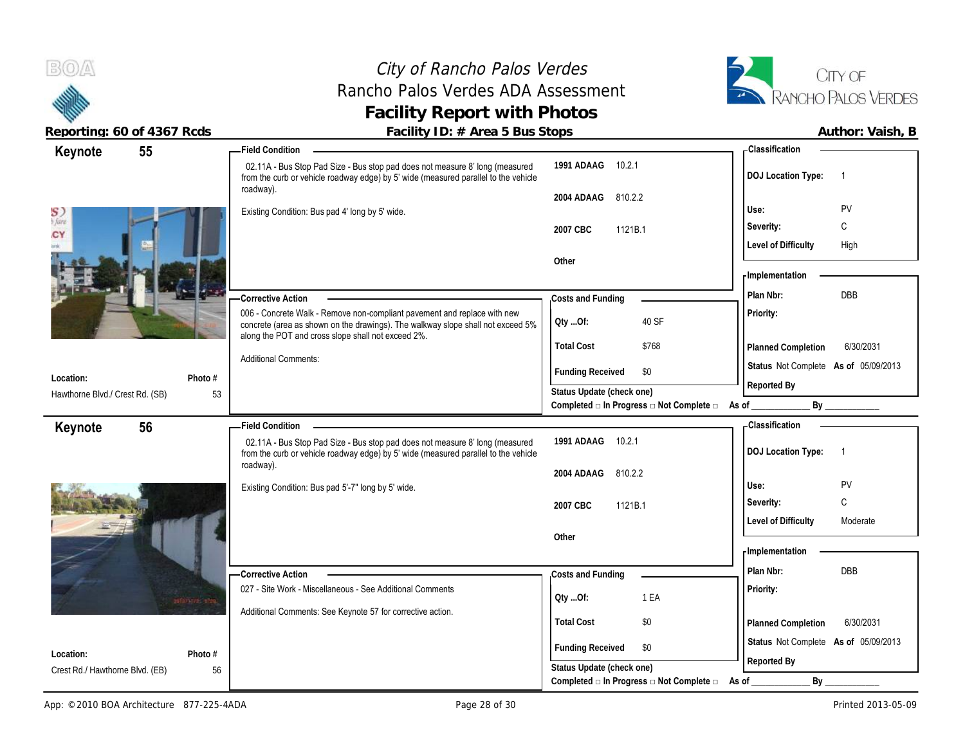## City of Rancho Palos Verdes Rancho Palos Verdes ADA Assessment **Facility Report with Photos**



| 55<br>Keynote                                                                                                                                                                                                                | - Classification                                                               |                                      |
|------------------------------------------------------------------------------------------------------------------------------------------------------------------------------------------------------------------------------|--------------------------------------------------------------------------------|--------------------------------------|
| 02.11A - Bus Stop Pad Size - Bus stop pad does not measure 8' long (measured<br>from the curb or vehicle roadway edge) by 5' wide (measured parallel to the vehicle                                                          | 1991 ADAAG<br>10.2.1<br><b>DOJ Location Type:</b>                              | $\overline{1}$                       |
| roadway).                                                                                                                                                                                                                    | 810.2.2<br>2004 ADAAG                                                          |                                      |
| S)<br>o fare<br>Existing Condition: Bus pad 4' long by 5' wide.                                                                                                                                                              | Use:                                                                           | PV                                   |
| 2007 CBC<br>CY                                                                                                                                                                                                               | Severity:<br>1121B.1                                                           | $\mathsf{C}$                         |
|                                                                                                                                                                                                                              | <b>Level of Difficulty</b>                                                     | High                                 |
| Other                                                                                                                                                                                                                        |                                                                                |                                      |
|                                                                                                                                                                                                                              | - Implementation                                                               |                                      |
| -Corrective Action                                                                                                                                                                                                           | Plan Nbr:<br>Costs and Funding                                                 | <b>DBB</b>                           |
| 006 - Concrete Walk - Remove non-compliant pavement and replace with new<br>Oty Of:<br>concrete (area as shown on the drawings). The walkway slope shall not exceed 5%<br>along the POT and cross slope shall not exceed 2%. | Priority:<br>40 SF                                                             |                                      |
| <b>Total Cost</b>                                                                                                                                                                                                            | \$768<br>Planned Completion                                                    | 6/30/2031                            |
| <b>Additional Comments:</b>                                                                                                                                                                                                  | <b>Funding Received</b><br>\$0                                                 | Status Not Complete As of 05/09/2013 |
| Photo #<br>Location:                                                                                                                                                                                                         | Reported By                                                                    |                                      |
| Hawthorne Blvd./ Crest Rd. (SB)<br>53                                                                                                                                                                                        | Status Update (check one)<br>Completed □ In Progress □ Not Complete □<br>As of | By                                   |
| <b>Field Condition</b>                                                                                                                                                                                                       | <b>Classification</b>                                                          |                                      |
| 56<br>Keynote<br>02.11A - Bus Stop Pad Size - Bus stop pad does not measure 8' long (measured                                                                                                                                | 1991 ADAAG<br>10.2.1                                                           |                                      |
| from the curb or vehicle roadway edge) by 5' wide (measured parallel to the vehicle                                                                                                                                          | <b>DOJ Location Type:</b>                                                      | $\overline{1}$                       |
|                                                                                                                                                                                                                              |                                                                                |                                      |
| roadway).                                                                                                                                                                                                                    | 810.2.2<br>2004 ADAAG                                                          |                                      |
| Existing Condition: Bus pad 5'-7" long by 5' wide.                                                                                                                                                                           | Use:                                                                           | PV                                   |
| 2007 CBC                                                                                                                                                                                                                     | Severity:<br>1121B.1                                                           | C                                    |
|                                                                                                                                                                                                                              | <b>Level of Difficulty</b>                                                     | Moderate                             |
| Other                                                                                                                                                                                                                        |                                                                                |                                      |
|                                                                                                                                                                                                                              | - Implementation                                                               |                                      |
| -Corrective Action                                                                                                                                                                                                           | Plan Nbr:<br>Costs and Funding                                                 | DBB                                  |
| 027 - Site Work - Miscellaneous - See Additional Comments                                                                                                                                                                    | Priority:                                                                      |                                      |
| Oty Of:<br>101071-12-11-02<br>Additional Comments: See Keynote 57 for corrective action.                                                                                                                                     | 1 EA                                                                           |                                      |
| <b>Total Cost</b>                                                                                                                                                                                                            | \$0<br>Planned Completion                                                      | 6/30/2031                            |
|                                                                                                                                                                                                                              | \$0                                                                            | Status Not Complete As of 05/09/2013 |
| Photo #<br>Location:<br>Crest Rd./ Hawthorne Blvd. (EB)<br>56                                                                                                                                                                | <b>Funding Received</b><br>Reported By<br>Status Update (check one)            |                                      |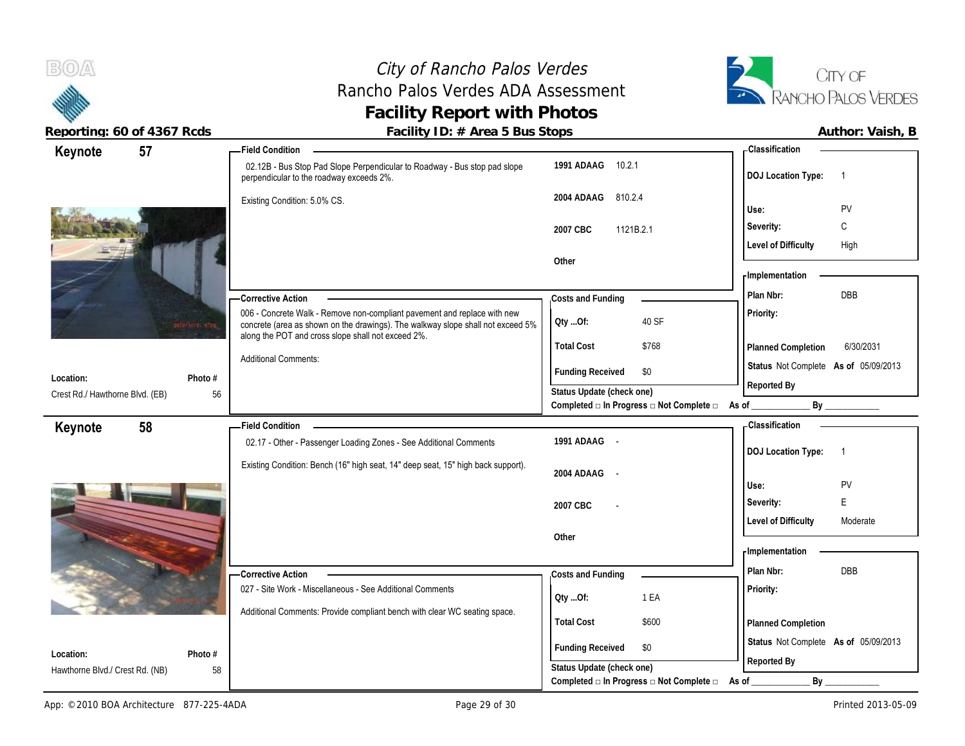## City of Rancho Palos Verdes Rancho Palos Verdes ADA Assessment **Facility Report with Photos**



| Keynote                                      | 57              | <b>Field Condition</b>                                                                                                                                                                                            |                                                                               | <b>Classification</b>                       |
|----------------------------------------------|-----------------|-------------------------------------------------------------------------------------------------------------------------------------------------------------------------------------------------------------------|-------------------------------------------------------------------------------|---------------------------------------------|
|                                              |                 | 02.12B - Bus Stop Pad Slope Perpendicular to Roadway - Bus stop pad slope<br>perpendicular to the roadway exceeds 2%.                                                                                             | 1991 ADAAG 10.2.1                                                             | <b>DOJ Location Type:</b><br>$\overline{1}$ |
|                                              |                 | Existing Condition: 5.0% CS.                                                                                                                                                                                      | 2004 ADAAG<br>810.2.4                                                         |                                             |
|                                              |                 |                                                                                                                                                                                                                   |                                                                               | PV<br>Use:                                  |
|                                              |                 |                                                                                                                                                                                                                   | 2007 CBC<br>1121B.2.1                                                         | C<br>Severity:                              |
|                                              |                 |                                                                                                                                                                                                                   |                                                                               | <b>Level of Difficulty</b><br>High          |
|                                              |                 |                                                                                                                                                                                                                   | Other                                                                         |                                             |
|                                              |                 |                                                                                                                                                                                                                   |                                                                               | <b>Implementation</b>                       |
|                                              |                 | - Corrective Action                                                                                                                                                                                               | Costs and Funding                                                             | DBB<br>Plan Nbr:                            |
|                                              | 101071-72-1-128 | 006 - Concrete Walk - Remove non-compliant pavement and replace with new<br>concrete (area as shown on the drawings). The walkway slope shall not exceed 5%<br>along the POT and cross slope shall not exceed 2%. | 40 SF<br>QtyOf:                                                               | Priority:                                   |
|                                              |                 |                                                                                                                                                                                                                   | <b>Total Cost</b><br>\$768                                                    | 6/30/2031<br>Planned Completion             |
|                                              |                 | <b>Additional Comments:</b>                                                                                                                                                                                       | <b>Funding Received</b><br>\$0                                                | Status Not Complete As of 05/09/2013        |
| Location:                                    | Photo #         |                                                                                                                                                                                                                   |                                                                               | Reported By                                 |
| Crest Rd./ Hawthorne Blvd. (EB)              | 56              |                                                                                                                                                                                                                   | Status Update (check one)<br>Completed □ In Progress □ Not Complete □ As of _ | By                                          |
|                                              | 58              | <b>Field Condition</b>                                                                                                                                                                                            |                                                                               | - Classification                            |
| Keynote                                      |                 | 02.17 - Other - Passenger Loading Zones - See Additional Comments                                                                                                                                                 | 1991 ADAAG -                                                                  |                                             |
|                                              |                 |                                                                                                                                                                                                                   |                                                                               | <b>DOJ Location Type:</b><br>$\overline{1}$ |
|                                              |                 |                                                                                                                                                                                                                   |                                                                               |                                             |
|                                              |                 | Existing Condition: Bench (16" high seat, 14" deep seat, 15" high back support).                                                                                                                                  | 2004 ADAAG -                                                                  |                                             |
|                                              |                 |                                                                                                                                                                                                                   |                                                                               | PV<br>Use:                                  |
|                                              |                 |                                                                                                                                                                                                                   | 2007 CBC                                                                      | E<br>Severity:                              |
|                                              |                 |                                                                                                                                                                                                                   |                                                                               | <b>Level of Difficulty</b><br>Moderate      |
|                                              |                 |                                                                                                                                                                                                                   | Other                                                                         |                                             |
|                                              |                 |                                                                                                                                                                                                                   |                                                                               | - Implementation                            |
|                                              |                 | - Corrective Action                                                                                                                                                                                               | Costs and Funding                                                             | <b>DBB</b><br>Plan Nbr:                     |
|                                              |                 | 027 - Site Work - Miscellaneous - See Additional Comments                                                                                                                                                         | 1 EA<br>QtyOf:                                                                | Priority:                                   |
|                                              |                 | Additional Comments: Provide compliant bench with clear WC seating space.                                                                                                                                         |                                                                               |                                             |
|                                              |                 |                                                                                                                                                                                                                   | <b>Total Cost</b><br>\$600                                                    | Planned Completion                          |
|                                              |                 |                                                                                                                                                                                                                   | <b>Funding Received</b><br>\$0                                                | Status Not Complete As of 05/09/2013        |
| Location:<br>Hawthorne Blvd./ Crest Rd. (NB) | Photo #<br>58   |                                                                                                                                                                                                                   | Status Update (check one)                                                     | Reported By                                 |